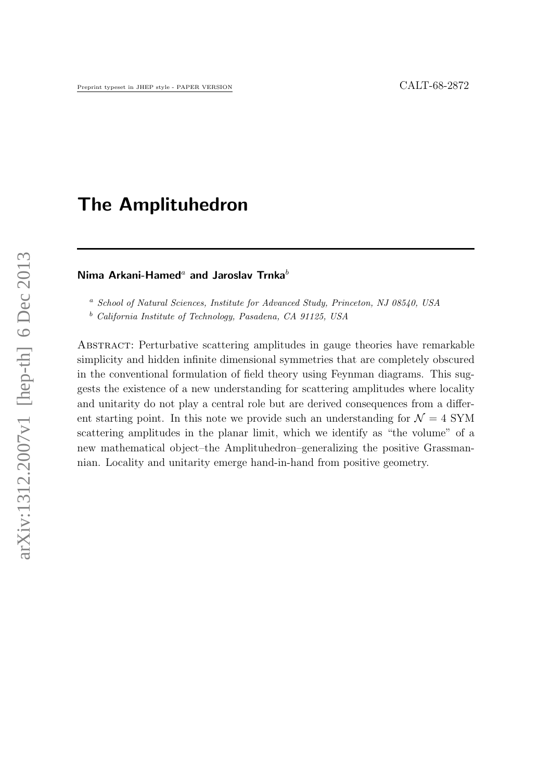# The Amplituhedron

### Nima Arkani-Hamed<sup>a</sup> and Jaroslav Trnka<sup>b</sup>

<sup>a</sup> School of Natural Sciences, Institute for Advanced Study, Princeton, NJ 08540, USA

<sup>b</sup> California Institute of Technology, Pasadena, CA 91125, USA

Abstract: Perturbative scattering amplitudes in gauge theories have remarkable simplicity and hidden infinite dimensional symmetries that are completely obscured in the conventional formulation of field theory using Feynman diagrams. This suggests the existence of a new understanding for scattering amplitudes where locality and unitarity do not play a central role but are derived consequences from a different starting point. In this note we provide such an understanding for  $\mathcal{N} = 4$  SYM scattering amplitudes in the planar limit, which we identify as "the volume" of a new mathematical object–the Amplituhedron–generalizing the positive Grassmannian. Locality and unitarity emerge hand-in-hand from positive geometry.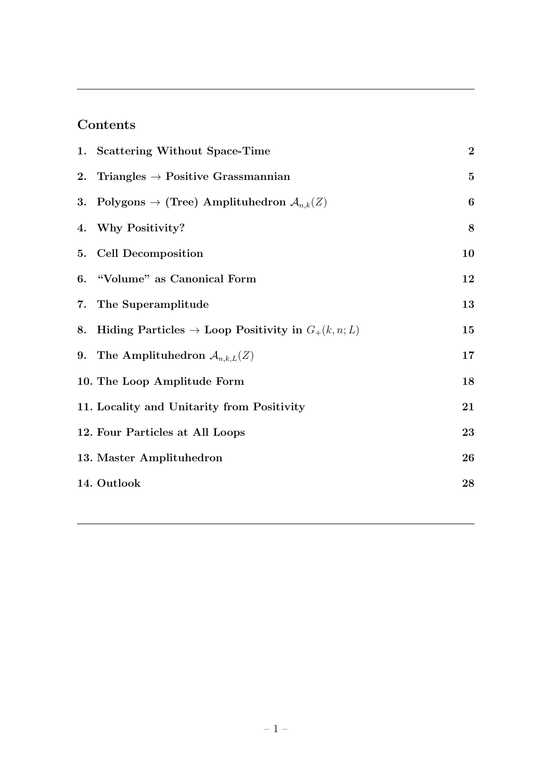## Contents

| 1. Scattering Without Space-Time                                      | $\bf{2}$ |
|-----------------------------------------------------------------------|----------|
| 2. Triangles $\rightarrow$ Positive Grassmannian                      | $\bf{5}$ |
| 3. Polygons $\rightarrow$ (Tree) Amplituhedron $\mathcal{A}_{n,k}(Z)$ | 6        |
| 4. Why Positivity?                                                    | 8        |
| 5. Cell Decomposition                                                 | 10       |
| 6. "Volume" as Canonical Form                                         | 12       |
| 7. The Superamplitude                                                 | 13       |
| 8. Hiding Particles $\rightarrow$ Loop Positivity in $G_+(k,n;L)$     | 15       |
| 9. The Amplituhedron $\mathcal{A}_{n,k,L}(Z)$                         | 17       |
| 10. The Loop Amplitude Form                                           | 18       |
| 11. Locality and Unitarity from Positivity                            | 21       |
| 12. Four Particles at All Loops                                       | 23       |
| 13. Master Amplituhedron                                              | 26       |
| 14. Outlook                                                           | 28       |
|                                                                       |          |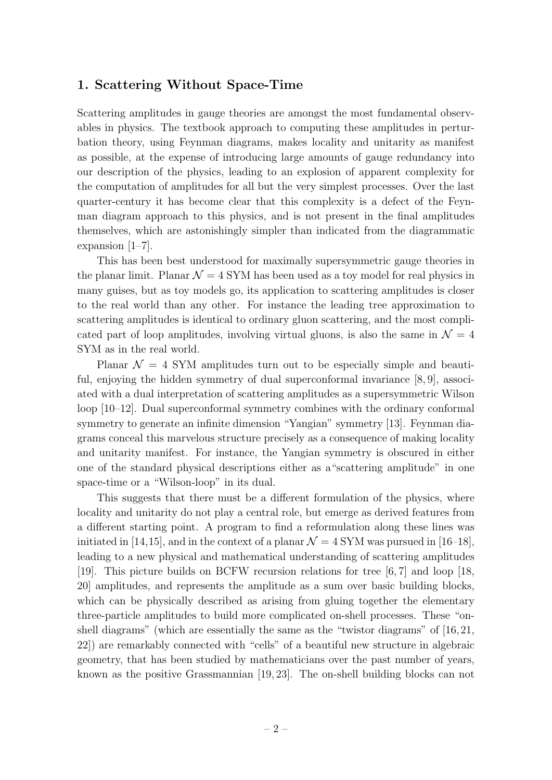#### 1. Scattering Without Space-Time

Scattering amplitudes in gauge theories are amongst the most fundamental observables in physics. The textbook approach to computing these amplitudes in perturbation theory, using Feynman diagrams, makes locality and unitarity as manifest as possible, at the expense of introducing large amounts of gauge redundancy into our description of the physics, leading to an explosion of apparent complexity for the computation of amplitudes for all but the very simplest processes. Over the last quarter-century it has become clear that this complexity is a defect of the Feynman diagram approach to this physics, and is not present in the final amplitudes themselves, which are astonishingly simpler than indicated from the diagrammatic expansion [1–7].

This has been best understood for maximally supersymmetric gauge theories in the planar limit. Planar  $\mathcal{N} = 4$  SYM has been used as a toy model for real physics in many guises, but as toy models go, its application to scattering amplitudes is closer to the real world than any other. For instance the leading tree approximation to scattering amplitudes is identical to ordinary gluon scattering, and the most complicated part of loop amplitudes, involving virtual gluons, is also the same in  $\mathcal{N} = 4$ SYM as in the real world.

Planar  $\mathcal{N} = 4$  SYM amplitudes turn out to be especially simple and beautiful, enjoying the hidden symmetry of dual superconformal invariance [8, 9], associated with a dual interpretation of scattering amplitudes as a supersymmetric Wilson loop [10–12]. Dual superconformal symmetry combines with the ordinary conformal symmetry to generate an infinite dimension "Yangian" symmetry [13]. Feynman diagrams conceal this marvelous structure precisely as a consequence of making locality and unitarity manifest. For instance, the Yangian symmetry is obscured in either one of the standard physical descriptions either as a"scattering amplitude" in one space-time or a "Wilson-loop" in its dual.

This suggests that there must be a different formulation of the physics, where locality and unitarity do not play a central role, but emerge as derived features from a different starting point. A program to find a reformulation along these lines was initiated in [14,15], and in the context of a planar  $\mathcal{N} = 4$  SYM was pursued in [16–18], leading to a new physical and mathematical understanding of scattering amplitudes [19]. This picture builds on BCFW recursion relations for tree [6, 7] and loop [18, 20] amplitudes, and represents the amplitude as a sum over basic building blocks, which can be physically described as arising from gluing together the elementary three-particle amplitudes to build more complicated on-shell processes. These "onshell diagrams" (which are essentially the same as the "twistor diagrams" of [16,21, 22]) are remarkably connected with "cells" of a beautiful new structure in algebraic geometry, that has been studied by mathematicians over the past number of years, known as the positive Grassmannian [19, 23]. The on-shell building blocks can not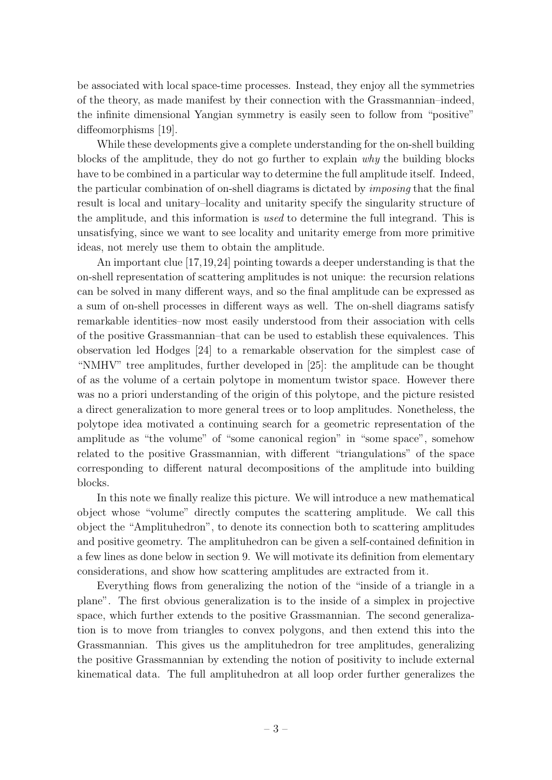be associated with local space-time processes. Instead, they enjoy all the symmetries of the theory, as made manifest by their connection with the Grassmannian–indeed, the infinite dimensional Yangian symmetry is easily seen to follow from "positive" diffeomorphisms [19].

While these developments give a complete understanding for the on-shell building blocks of the amplitude, they do not go further to explain why the building blocks have to be combined in a particular way to determine the full amplitude itself. Indeed, the particular combination of on-shell diagrams is dictated by imposing that the final result is local and unitary–locality and unitarity specify the singularity structure of the amplitude, and this information is used to determine the full integrand. This is unsatisfying, since we want to see locality and unitarity emerge from more primitive ideas, not merely use them to obtain the amplitude.

An important clue [17,19,24] pointing towards a deeper understanding is that the on-shell representation of scattering amplitudes is not unique: the recursion relations can be solved in many different ways, and so the final amplitude can be expressed as a sum of on-shell processes in different ways as well. The on-shell diagrams satisfy remarkable identities–now most easily understood from their association with cells of the positive Grassmannian–that can be used to establish these equivalences. This observation led Hodges [24] to a remarkable observation for the simplest case of "NMHV" tree amplitudes, further developed in [25]: the amplitude can be thought of as the volume of a certain polytope in momentum twistor space. However there was no a priori understanding of the origin of this polytope, and the picture resisted a direct generalization to more general trees or to loop amplitudes. Nonetheless, the polytope idea motivated a continuing search for a geometric representation of the amplitude as "the volume" of "some canonical region" in "some space", somehow related to the positive Grassmannian, with different "triangulations" of the space corresponding to different natural decompositions of the amplitude into building blocks.

In this note we finally realize this picture. We will introduce a new mathematical object whose "volume" directly computes the scattering amplitude. We call this object the "Amplituhedron", to denote its connection both to scattering amplitudes and positive geometry. The amplituhedron can be given a self-contained definition in a few lines as done below in section 9. We will motivate its definition from elementary considerations, and show how scattering amplitudes are extracted from it.

Everything flows from generalizing the notion of the "inside of a triangle in a plane". The first obvious generalization is to the inside of a simplex in projective space, which further extends to the positive Grassmannian. The second generalization is to move from triangles to convex polygons, and then extend this into the Grassmannian. This gives us the amplituhedron for tree amplitudes, generalizing the positive Grassmannian by extending the notion of positivity to include external kinematical data. The full amplituhedron at all loop order further generalizes the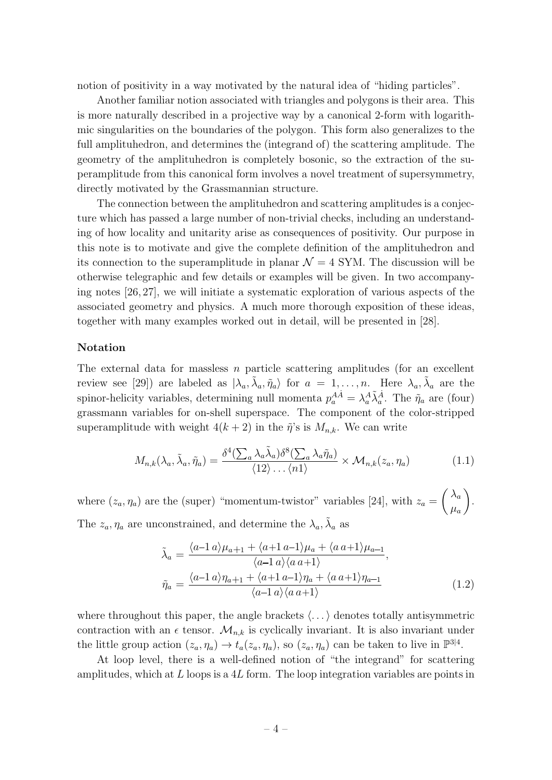notion of positivity in a way motivated by the natural idea of "hiding particles".

Another familiar notion associated with triangles and polygons is their area. This is more naturally described in a projective way by a canonical 2-form with logarithmic singularities on the boundaries of the polygon. This form also generalizes to the full amplituhedron, and determines the (integrand of) the scattering amplitude. The geometry of the amplituhedron is completely bosonic, so the extraction of the superamplitude from this canonical form involves a novel treatment of supersymmetry, directly motivated by the Grassmannian structure.

The connection between the amplituhedron and scattering amplitudes is a conjecture which has passed a large number of non-trivial checks, including an understanding of how locality and unitarity arise as consequences of positivity. Our purpose in this note is to motivate and give the complete definition of the amplituhedron and its connection to the superamplitude in planar  $\mathcal{N} = 4$  SYM. The discussion will be otherwise telegraphic and few details or examples will be given. In two accompanying notes [26, 27], we will initiate a systematic exploration of various aspects of the associated geometry and physics. A much more thorough exposition of these ideas, together with many examples worked out in detail, will be presented in [28].

#### Notation

The external data for massless n particle scattering amplitudes (for an excellent review see [29]) are labeled as  $|\lambda_a, \tilde{\lambda}_a, \tilde{\eta}_a\rangle$  for  $a = 1, \ldots, n$ . Here  $\lambda_a, \tilde{\lambda}_a$  are the spinor-helicity variables, determining null momenta  $p_a^{A\dot{A}} = \lambda_a^A \tilde{\lambda}_a^{\dot{A}}$ . The  $\tilde{\eta}_a$  are (four) grassmann variables for on-shell superspace. The component of the color-stripped superamplitude with weight  $4(k+2)$  in the  $\tilde{\eta}$ 's is  $M_{n,k}$ . We can write

$$
M_{n,k}(\lambda_a, \tilde{\lambda}_a, \tilde{\eta}_a) = \frac{\delta^4(\sum_a \lambda_a \tilde{\lambda}_a) \delta^8(\sum_a \lambda_a \tilde{\eta}_a)}{\langle 12 \rangle \dots \langle n1 \rangle} \times \mathcal{M}_{n,k}(z_a, \eta_a)
$$
(1.1)

where  $(z_a, \eta_a)$  are the (super) "momentum-twistor" variables [24], with  $z_a =$  $\bigwedge$  $\mu_a$  $\setminus$ . The  $z_a, \eta_a$  are unconstrained, and determine the  $\lambda_a, \tilde{\lambda}_a$  as

$$
\tilde{\lambda}_a = \frac{\langle a-1 \, a \rangle \mu_{a+1} + \langle a+1 \, a-1 \rangle \mu_a + \langle a \, a+1 \rangle \mu_{a-1}}{\langle a-1 \, a \rangle \langle a \, a+1 \rangle},
$$
\n
$$
\tilde{\eta}_a = \frac{\langle a-1 \, a \rangle \eta_{a+1} + \langle a+1 \, a-1 \rangle \eta_a + \langle a \, a+1 \rangle \eta_{a-1}}{\langle a-1 \, a \rangle \langle a \, a+1 \rangle} \tag{1.2}
$$

where throughout this paper, the angle brackets  $\langle \ldots \rangle$  denotes totally antisymmetric contraction with an  $\epsilon$  tensor.  $\mathcal{M}_{n,k}$  is cyclically invariant. It is also invariant under the little group action  $(z_a, \eta_a) \to t_a(z_a, \eta_a)$ , so  $(z_a, \eta_a)$  can be taken to live in  $\mathbb{P}^{3|4}$ .

At loop level, there is a well-defined notion of "the integrand" for scattering amplitudes, which at  $L$  loops is a  $4L$  form. The loop integration variables are points in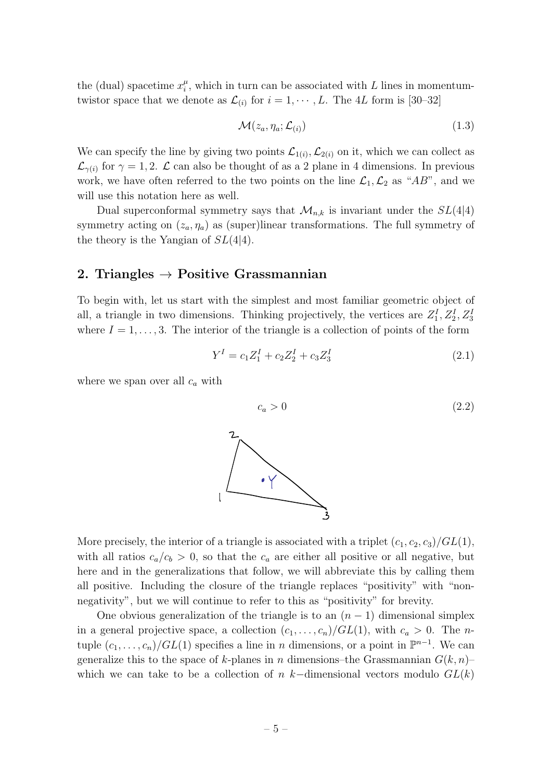the (dual) spacetime  $x_i^{\mu}$  $i<sup>\mu</sup>$ , which in turn can be associated with L lines in momentumtwistor space that we denote as  $\mathcal{L}_{(i)}$  for  $i = 1, \cdots, L$ . The 4L form is [30–32]

$$
\mathcal{M}(z_a, \eta_a; \mathcal{L}_{(i)}) \tag{1.3}
$$

We can specify the line by giving two points  $\mathcal{L}_{1(i)}$ ,  $\mathcal{L}_{2(i)}$  on it, which we can collect as  $\mathcal{L}_{\gamma(i)}$  for  $\gamma = 1, 2$ .  $\mathcal{L}$  can also be thought of as a 2 plane in 4 dimensions. In previous work, we have often referred to the two points on the line  $\mathcal{L}_1, \mathcal{L}_2$  as "AB", and we will use this notation here as well.

Dual superconformal symmetry says that  $\mathcal{M}_{n,k}$  is invariant under the  $SL(4|4)$ symmetry acting on  $(z_a, \eta_a)$  as (super)linear transformations. The full symmetry of the theory is the Yangian of  $SL(4|4)$ .

#### 2. Triangles  $\rightarrow$  Positive Grassmannian

To begin with, let us start with the simplest and most familiar geometric object of all, a triangle in two dimensions. Thinking projectively, the vertices are  $Z_1^I, Z_2^I, Z_3^I$ where  $I = 1, \ldots, 3$ . The interior of the triangle is a collection of points of the form

$$
Y^I = c_1 Z_1^I + c_2 Z_2^I + c_3 Z_3^I \tag{2.1}
$$

where we span over all  $c_a$  with

$$
c_a > 0 \tag{2.2}
$$



More precisely, the interior of a triangle is associated with a triplet  $(c_1, c_2, c_3)/GL(1)$ , with all ratios  $c_a/c_b > 0$ , so that the  $c_a$  are either all positive or all negative, but here and in the generalizations that follow, we will abbreviate this by calling them all positive. Including the closure of the triangle replaces "positivity" with "nonnegativity", but we will continue to refer to this as "positivity" for brevity.

One obvious generalization of the triangle is to an  $(n - 1)$  dimensional simplex in a general projective space, a collection  $(c_1, \ldots, c_n)/GL(1)$ , with  $c_a > 0$ . The ntuple  $(c_1, \ldots, c_n)/GL(1)$  specifies a line in n dimensions, or a point in  $\mathbb{P}^{n-1}$ . We can generalize this to the space of k-planes in n dimensions–the Grassmannian  $G(k, n)$ – which we can take to be a collection of n k–dimensional vectors modulo  $GL(k)$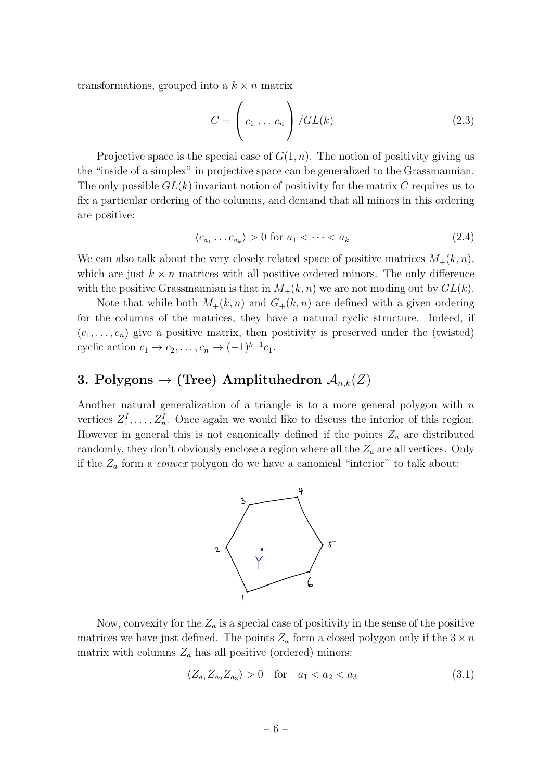transformations, grouped into a  $k \times n$  matrix

$$
C = \left(c_1 \dots c_n\right) / GL(k) \tag{2.3}
$$

Projective space is the special case of  $G(1, n)$ . The notion of positivity giving us the "inside of a simplex" in projective space can be generalized to the Grassmannian. The only possible  $GL(k)$  invariant notion of positivity for the matrix C requires us to fix a particular ordering of the columns, and demand that all minors in this ordering are positive:

$$
\langle c_{a_1} \dots c_{a_k} \rangle > 0 \text{ for } a_1 < \dots < a_k \tag{2.4}
$$

We can also talk about the very closely related space of positive matrices  $M_+(k, n)$ , which are just  $k \times n$  matrices with all positive ordered minors. The only difference with the positive Grassmannian is that in  $M_+(k,n)$  we are not moding out by  $GL(k)$ .

Note that while both  $M_+(k,n)$  and  $G_+(k,n)$  are defined with a given ordering for the columns of the matrices, they have a natural cyclic structure. Indeed, if  $(c_1, \ldots, c_n)$  give a positive matrix, then positivity is preserved under the (twisted) cyclic action  $c_1 \to c_2, \ldots, c_n \to (-1)^{k-1}c_1$ .

## 3. Polygons  $\rightarrow$  (Tree) Amplituhedron  $\mathcal{A}_{n,k}(Z)$

Another natural generalization of a triangle is to a more general polygon with n vertices  $Z_1^I, \ldots, Z_n^I$ . Once again we would like to discuss the interior of this region. However in general this is not canonically defined–if the points  $Z_a$  are distributed randomly, they don't obviously enclose a region where all the  $Z_a$  are all vertices. Only if the  $Z_a$  form a *convex* polygon do we have a canonical "interior" to talk about:



Now, convexity for the  $Z_a$  is a special case of positivity in the sense of the positive matrices we have just defined. The points  $Z_a$  form a closed polygon only if the  $3 \times n$ matrix with columns  $Z_a$  has all positive (ordered) minors:

$$
\langle Z_{a_1} Z_{a_2} Z_{a_3} \rangle > 0 \quad \text{for} \quad a_1 < a_2 < a_3 \tag{3.1}
$$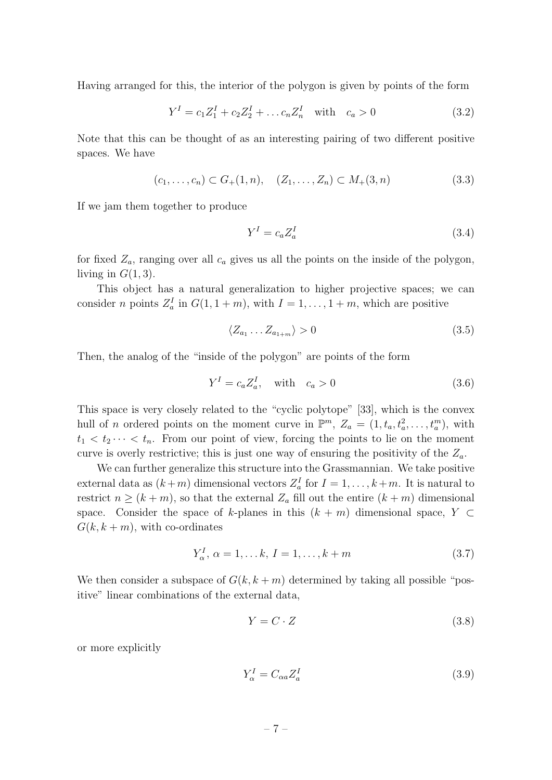Having arranged for this, the interior of the polygon is given by points of the form

$$
Y^{I} = c_{1}Z_{1}^{I} + c_{2}Z_{2}^{I} + \dots + c_{n}Z_{n}^{I} \text{ with } c_{a} > 0 \qquad (3.2)
$$

Note that this can be thought of as an interesting pairing of two different positive spaces. We have

$$
(c_1, \ldots, c_n) \subset G_+(1, n), \quad (Z_1, \ldots, Z_n) \subset M_+(3, n) \tag{3.3}
$$

If we jam them together to produce

$$
Y^I = c_a Z_a^I \tag{3.4}
$$

for fixed  $Z_a$ , ranging over all  $c_a$  gives us all the points on the inside of the polygon, living in  $G(1,3)$ .

This object has a natural generalization to higher projective spaces; we can consider *n* points  $Z_a^I$  in  $G(1, 1 + m)$ , with  $I = 1, ..., 1 + m$ , which are positive

$$
\langle Z_{a_1} \dots Z_{a_{1+m}} \rangle > 0 \tag{3.5}
$$

Then, the analog of the "inside of the polygon" are points of the form

$$
Y^I = c_a Z_a^I, \quad \text{with} \quad c_a > 0 \tag{3.6}
$$

This space is very closely related to the "cyclic polytope" [33], which is the convex hull of *n* ordered points on the moment curve in  $\mathbb{P}^m$ ,  $Z_a = (1, t_a, t_a^2, \ldots, t_a^m)$ , with  $t_1 < t_2 \cdots < t_n$ . From our point of view, forcing the points to lie on the moment curve is overly restrictive; this is just one way of ensuring the positivity of the  $Z_a$ .

We can further generalize this structure into the Grassmannian. We take positive external data as  $(k+m)$  dimensional vectors  $Z_a^I$  for  $I=1,\ldots,k+m$ . It is natural to restrict  $n \geq (k+m)$ , so that the external  $Z_a$  fill out the entire  $(k+m)$  dimensional space. Consider the space of k-planes in this  $(k + m)$  dimensional space, Y ⊂  $G(k, k+m)$ , with co-ordinates

$$
Y_{\alpha}^{I}, \alpha = 1, \dots k, I = 1, \dots, k + m \tag{3.7}
$$

We then consider a subspace of  $G(k, k+m)$  determined by taking all possible "positive" linear combinations of the external data,

$$
Y = C \cdot Z \tag{3.8}
$$

or more explicitly

$$
Y_{\alpha}^{I} = C_{\alpha a} Z_{a}^{I} \tag{3.9}
$$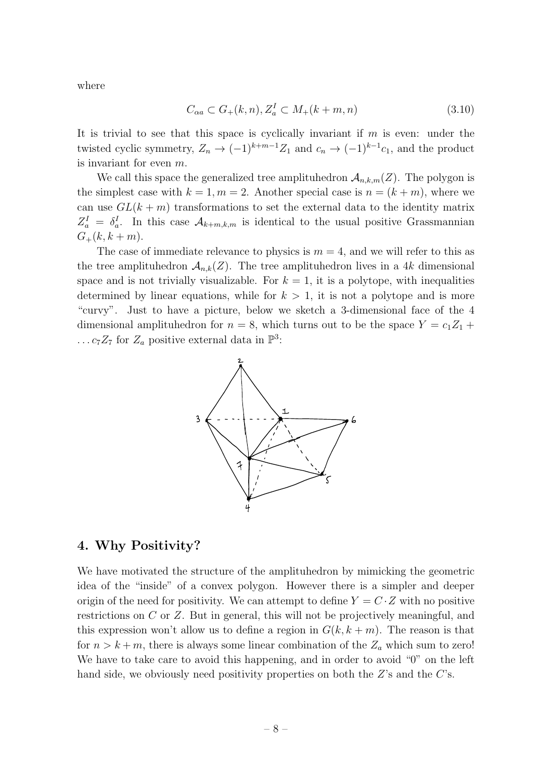where

$$
C_{\alpha a} \subset G_+(k, n), Z_a^I \subset M_+(k+m, n) \tag{3.10}
$$

It is trivial to see that this space is cyclically invariant if  $m$  is even: under the twisted cyclic symmetry,  $Z_n \to (-1)^{k+m-1}Z_1$  and  $c_n \to (-1)^{k-1}c_1$ , and the product is invariant for even m.

We call this space the generalized tree amplituhedron  $\mathcal{A}_{n,k,m}(Z)$ . The polygon is the simplest case with  $k = 1, m = 2$ . Another special case is  $n = (k + m)$ , where we can use  $GL(k+m)$  transformations to set the external data to the identity matrix  $Z_a^I = \delta_a^I$ . In this case  $A_{k+m,k,m}$  is identical to the usual positive Grassmannian  $G_{+}(k, k+m).$ 

The case of immediate relevance to physics is  $m = 4$ , and we will refer to this as the tree amplituhedron  $\mathcal{A}_{n,k}(Z)$ . The tree amplituhedron lives in a 4k dimensional space and is not trivially visualizable. For  $k = 1$ , it is a polytope, with inequalities determined by linear equations, while for  $k > 1$ , it is not a polytope and is more "curvy". Just to have a picture, below we sketch a 3-dimensional face of the 4 dimensional amplituhedron for  $n = 8$ , which turns out to be the space  $Y = c_1Z_1 +$ ...  $c_7 Z_7$  for  $Z_a$  positive external data in  $\mathbb{P}^3$ :



#### 4. Why Positivity?

We have motivated the structure of the amplituhedron by mimicking the geometric idea of the "inside" of a convex polygon. However there is a simpler and deeper origin of the need for positivity. We can attempt to define  $Y = C \cdot Z$  with no positive restrictions on C or Z. But in general, this will not be projectively meaningful, and this expression won't allow us to define a region in  $G(k, k+m)$ . The reason is that for  $n > k + m$ , there is always some linear combination of the  $Z_a$  which sum to zero! We have to take care to avoid this happening, and in order to avoid "0" on the left" hand side, we obviously need positivity properties on both the  $Z$ 's and the  $C$ 's.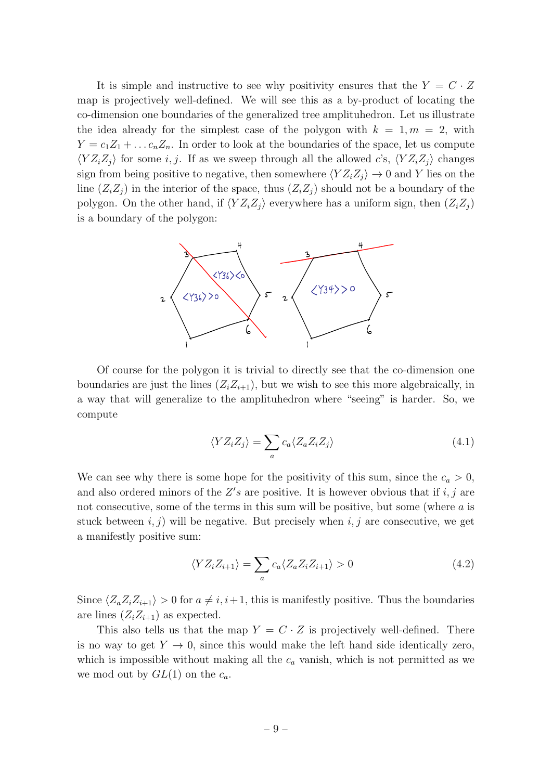It is simple and instructive to see why positivity ensures that the  $Y = C \cdot Z$ map is projectively well-defined. We will see this as a by-product of locating the co-dimension one boundaries of the generalized tree amplituhedron. Let us illustrate the idea already for the simplest case of the polygon with  $k = 1, m = 2$ , with  $Y = c_1 Z_1 + \dots + c_n Z_n$ . In order to look at the boundaries of the space, let us compute  $\langle YZ_iZ_j \rangle$  for some i, j. If as we sweep through all the allowed c's,  $\langle YZ_iZ_j \rangle$  changes sign from being positive to negative, then somewhere  $\langle YZ_iZ_j \rangle \to 0$  and Y lies on the line  $(Z_iZ_j)$  in the interior of the space, thus  $(Z_iZ_j)$  should not be a boundary of the polygon. On the other hand, if  $\langle YZ_iZ_j \rangle$  everywhere has a uniform sign, then  $(Z_iZ_j)$ is a boundary of the polygon:



Of course for the polygon it is trivial to directly see that the co-dimension one boundaries are just the lines  $(Z_iZ_{i+1})$ , but we wish to see this more algebraically, in a way that will generalize to the amplituhedron where "seeing" is harder. So, we compute

$$
\langle YZ_i Z_j \rangle = \sum_a c_a \langle Z_a Z_i Z_j \rangle \tag{4.1}
$$

We can see why there is some hope for the positivity of this sum, since the  $c_a > 0$ , and also ordered minors of the  $Z's$  are positive. It is however obvious that if  $i, j$  are not consecutive, some of the terms in this sum will be positive, but some (where a is stuck between i, j) will be negative. But precisely when i, j are consecutive, we get a manifestly positive sum:

$$
\langle YZ_i Z_{i+1} \rangle = \sum_a c_a \langle Z_a Z_i Z_{i+1} \rangle > 0 \tag{4.2}
$$

Since  $\langle Z_a Z_i Z_{i+1} \rangle > 0$  for  $a \neq i, i+1$ , this is manifestly positive. Thus the boundaries are lines  $(Z_iZ_{i+1})$  as expected.

This also tells us that the map  $Y = C \cdot Z$  is projectively well-defined. There is no way to get  $Y \to 0$ , since this would make the left hand side identically zero, which is impossible without making all the  $c_a$  vanish, which is not permitted as we we mod out by  $GL(1)$  on the  $c_a$ .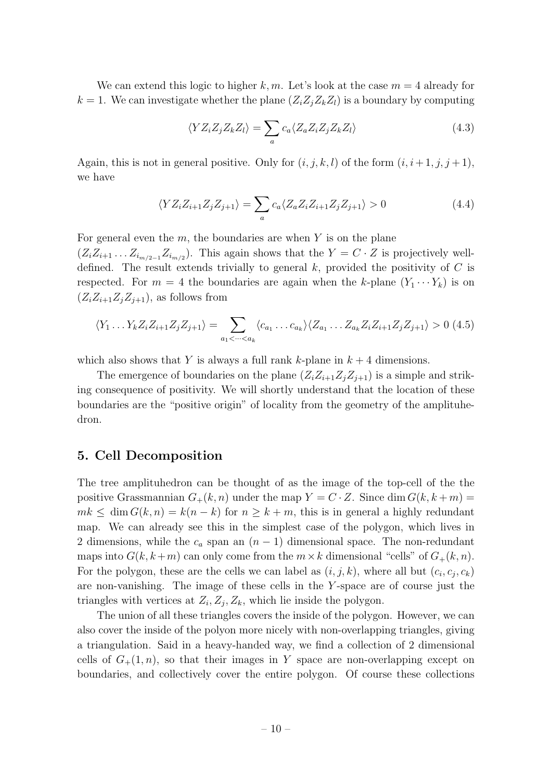We can extend this logic to higher k, m. Let's look at the case  $m = 4$  already for  $k = 1$ . We can investigate whether the plane  $(Z_i Z_j Z_k Z_l)$  is a boundary by computing

$$
\langle YZ_iZ_jZ_kZ_l\rangle = \sum_a c_a \langle Z_a Z_i Z_j Z_k Z_l\rangle \tag{4.3}
$$

Again, this is not in general positive. Only for  $(i, j, k, l)$  of the form  $(i, i+1, j, j+1)$ , we have

$$
\langle YZ_i Z_{i+1} Z_j Z_{j+1} \rangle = \sum_a c_a \langle Z_a Z_i Z_{i+1} Z_j Z_{j+1} \rangle > 0 \tag{4.4}
$$

For general even the  $m$ , the boundaries are when Y is on the plane

 $(Z_iZ_{i+1}\ldots Z_{i_{m/2}-1}Z_{i_{m/2}})$ . This again shows that the  $Y = C \cdot Z$  is projectively welldefined. The result extends trivially to general  $k$ , provided the positivity of  $C$  is respected. For  $m = 4$  the boundaries are again when the k-plane  $(Y_1 \cdots Y_k)$  is on  $(Z_iZ_{i+1}Z_jZ_{j+1}),$  as follows from

$$
\langle Y_1 \dots Y_k Z_i Z_{i+1} Z_j Z_{j+1} \rangle = \sum_{a_1 < \dots < a_k} \langle c_{a_1} \dots c_{a_k} \rangle \langle Z_{a_1} \dots Z_{a_k} Z_i Z_{i+1} Z_j Z_{j+1} \rangle > 0 \tag{4.5}
$$

which also shows that Y is always a full rank k-plane in  $k + 4$  dimensions.

The emergence of boundaries on the plane  $(Z_iZ_{i+1}Z_jZ_{j+1})$  is a simple and striking consequence of positivity. We will shortly understand that the location of these boundaries are the "positive origin" of locality from the geometry of the amplituhedron.

#### 5. Cell Decomposition

The tree amplituhedron can be thought of as the image of the top-cell of the the positive Grassmannian  $G_+(k,n)$  under the map  $Y = C \cdot Z$ . Since dim  $G(k, k+m) =$  $mk \leq \dim G(k,n) = k(n-k)$  for  $n \geq k+m$ , this is in general a highly redundant map. We can already see this in the simplest case of the polygon, which lives in 2 dimensions, while the  $c_a$  span an  $(n-1)$  dimensional space. The non-redundant maps into  $G(k, k+m)$  can only come from the  $m \times k$  dimensional "cells" of  $G_{+}(k, n)$ . For the polygon, these are the cells we can label as  $(i, j, k)$ , where all but  $(c_i, c_j, c_k)$ are non-vanishing. The image of these cells in the Y -space are of course just the triangles with vertices at  $Z_i, Z_j, Z_k$ , which lie inside the polygon.

The union of all these triangles covers the inside of the polygon. However, we can also cover the inside of the polyon more nicely with non-overlapping triangles, giving a triangulation. Said in a heavy-handed way, we find a collection of 2 dimensional cells of  $G_{+}(1,n)$ , so that their images in Y space are non-overlapping except on boundaries, and collectively cover the entire polygon. Of course these collections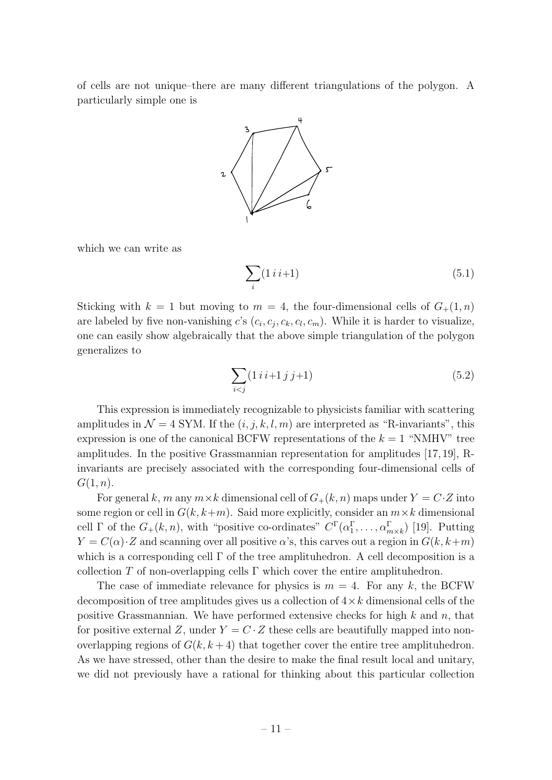of cells are not unique–there are many different triangulations of the polygon. A particularly simple one is



which we can write as

$$
\sum_{i} (1\,i\,i+1) \tag{5.1}
$$

Sticking with  $k = 1$  but moving to  $m = 4$ , the four-dimensional cells of  $G<sub>+</sub>(1, n)$ are labeled by five non-vanishing c's  $(c_i, c_j, c_k, c_l, c_m)$ . While it is harder to visualize, one can easily show algebraically that the above simple triangulation of the polygon generalizes to

$$
\sum_{i < j} (1 \, i \, i + 1 \, j \, j + 1) \tag{5.2}
$$

This expression is immediately recognizable to physicists familiar with scattering amplitudes in  $\mathcal{N} = 4$  SYM. If the  $(i, j, k, l, m)$  are interpreted as "R-invariants", this expression is one of the canonical BCFW representations of the  $k = 1$  "NMHV" tree amplitudes. In the positive Grassmannian representation for amplitudes [17, 19], Rinvariants are precisely associated with the corresponding four-dimensional cells of  $G(1, n)$ .

For general k, m any  $m \times k$  dimensional cell of  $G_+(k,n)$  maps under  $Y = C \cdot Z$  into some region or cell in  $G(k, k+m)$ . Said more explicitly, consider an  $m \times k$  dimensional cell  $\Gamma$  of the  $G_+(k,n)$ , with "positive co-ordinates"  $C^{\Gamma}(\alpha_1^{\Gamma}, \ldots, \alpha_{m \times k}^{\Gamma})$  [19]. Putting  $Y = C(\alpha) \cdot Z$  and scanning over all positive  $\alpha$ 's, this carves out a region in  $G(k, k+m)$ which is a corresponding cell  $\Gamma$  of the tree amplituhedron. A cell decomposition is a collection T of non-overlapping cells  $\Gamma$  which cover the entire amplituhedron.

The case of immediate relevance for physics is  $m = 4$ . For any k, the BCFW decomposition of tree amplitudes gives us a collection of  $4 \times k$  dimensional cells of the positive Grassmannian. We have performed extensive checks for high  $k$  and  $n$ , that for positive external Z, under  $Y = C \cdot Z$  these cells are beautifully mapped into nonoverlapping regions of  $G(k, k+4)$  that together cover the entire tree amplituhedron. As we have stressed, other than the desire to make the final result local and unitary, we did not previously have a rational for thinking about this particular collection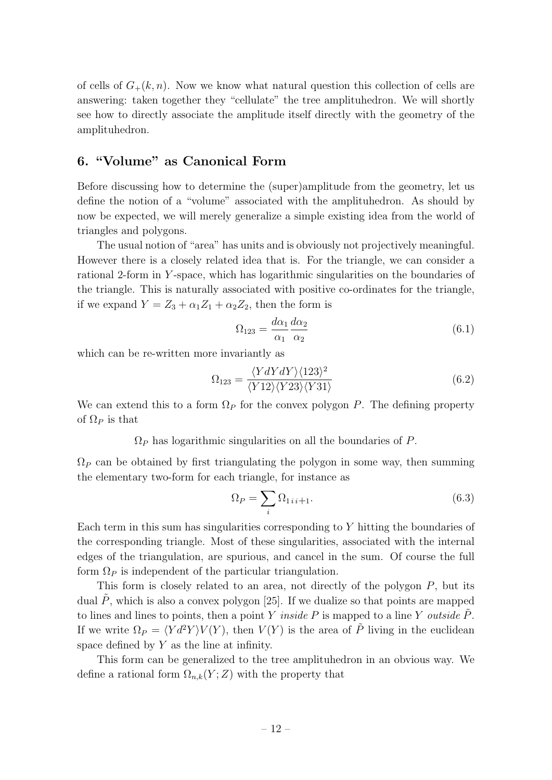of cells of  $G_{+}(k, n)$ . Now we know what natural question this collection of cells are answering: taken together they "cellulate" the tree amplituhedron. We will shortly see how to directly associate the amplitude itself directly with the geometry of the amplituhedron.

## 6. "Volume" as Canonical Form

Before discussing how to determine the (super)amplitude from the geometry, let us define the notion of a "volume" associated with the amplituhedron. As should by now be expected, we will merely generalize a simple existing idea from the world of triangles and polygons.

The usual notion of "area" has units and is obviously not projectively meaningful. However there is a closely related idea that is. For the triangle, we can consider a rational 2-form in Y -space, which has logarithmic singularities on the boundaries of the triangle. This is naturally associated with positive co-ordinates for the triangle, if we expand  $Y = Z_3 + \alpha_1 Z_1 + \alpha_2 Z_2$ , then the form is

$$
\Omega_{123} = \frac{d\alpha_1}{\alpha_1} \frac{d\alpha_2}{\alpha_2} \tag{6.1}
$$

which can be re-written more invariantly as

$$
\Omega_{123} = \frac{\langle YdYdY \rangle \langle 123 \rangle^2}{\langle Y12 \rangle \langle Y23 \rangle \langle Y31 \rangle} \tag{6.2}
$$

We can extend this to a form  $\Omega_P$  for the convex polygon P. The defining property of  $\Omega_P$  is that

 $\Omega_P$  has logarithmic singularities on all the boundaries of P.

 $\Omega_P$  can be obtained by first triangulating the polygon in some way, then summing the elementary two-form for each triangle, for instance as

$$
\Omega_P = \sum_i \Omega_{1\,i\,i+1}.\tag{6.3}
$$

Each term in this sum has singularities corresponding to Y hitting the boundaries of the corresponding triangle. Most of these singularities, associated with the internal edges of the triangulation, are spurious, and cancel in the sum. Of course the full form  $\Omega_P$  is independent of the particular triangulation.

This form is closely related to an area, not directly of the polygon  $P$ , but its dual  $P$ , which is also a convex polygon [25]. If we dualize so that points are mapped to lines and lines to points, then a point Y inside P is mapped to a line Y outside  $\tilde{P}$ . If we write  $\Omega_P = \langle Y d^2 Y \rangle V(Y)$ , then  $V(Y)$  is the area of  $\tilde{P}$  living in the euclidean space defined by  $Y$  as the line at infinity.

This form can be generalized to the tree amplituhedron in an obvious way. We define a rational form  $\Omega_{n,k}(Y;Z)$  with the property that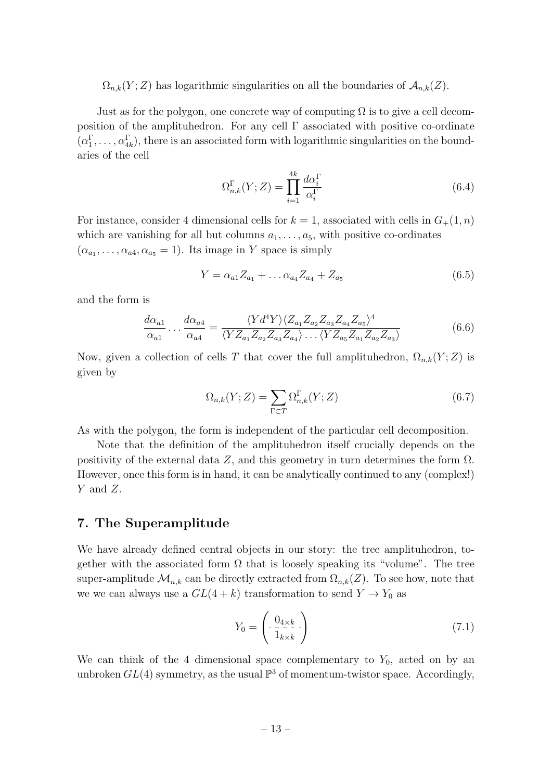$\Omega_{n,k}(Y;Z)$  has logarithmic singularities on all the boundaries of  $\mathcal{A}_{n,k}(Z)$ .

Just as for the polygon, one concrete way of computing  $\Omega$  is to give a cell decomposition of the amplituhedron. For any cell  $\Gamma$  associated with positive co-ordinate  $(\alpha_1^{\Gamma}, \ldots, \alpha_{4k}^{\Gamma})$ , there is an associated form with logarithmic singularities on the boundaries of the cell

$$
\Omega_{n,k}^{\Gamma}(Y;Z) = \prod_{i=1}^{4k} \frac{d\alpha_i^{\Gamma}}{\alpha_i^{\Gamma}}
$$
\n(6.4)

For instance, consider 4 dimensional cells for  $k = 1$ , associated with cells in  $G<sub>+</sub>(1, n)$ which are vanishing for all but columns  $a_1, \ldots, a_5$ , with positive co-ordinates  $(\alpha_{a_1}, \ldots, \alpha_{a4}, \alpha_{a_5} = 1)$ . Its image in Y space is simply

$$
Y = \alpha_{a1} Z_{a_1} + \dots \alpha_{a_4} Z_{a_4} + Z_{a_5} \tag{6.5}
$$

and the form is

$$
\frac{d\alpha_{a1}}{\alpha_{a1}}\dots\frac{d\alpha_{a4}}{\alpha_{a4}} = \frac{\langle Yd^4Y \rangle \langle Z_{a_1}Z_{a_2}Z_{a_3}Z_{a_4}Z_{a_5} \rangle^4}{\langle YZ_{a_1}Z_{a_2}Z_{a_3}Z_{a_4} \rangle \dots \langle YZ_{a_5}Z_{a_1}Z_{a_2}Z_{a_3} \rangle}
$$
(6.6)

Now, given a collection of cells T that cover the full amplituhedron,  $\Omega_{n,k}(Y;Z)$  is given by

$$
\Omega_{n,k}(Y;Z) = \sum_{\Gamma \subset T} \Omega_{n,k}^{\Gamma}(Y;Z)
$$
\n(6.7)

As with the polygon, the form is independent of the particular cell decomposition.

Note that the definition of the amplituhedron itself crucially depends on the positivity of the external data  $Z$ , and this geometry in turn determines the form  $\Omega$ . However, once this form is in hand, it can be analytically continued to any (complex!) Y and Z.

#### 7. The Superamplitude

We have already defined central objects in our story: the tree amplituhedron, together with the associated form  $\Omega$  that is loosely speaking its "volume". The tree super-amplitude  $\mathcal{M}_{n,k}$  can be directly extracted from  $\Omega_{n,k}(Z)$ . To see how, note that we we can always use a  $GL(4 + k)$  transformation to send  $Y \to Y_0$  as

$$
Y_0 = \left( \frac{0_{4 \times k}}{1_{k \times k}} \right) \tag{7.1}
$$

We can think of the 4 dimensional space complementary to  $Y_0$ , acted on by an unbroken  $GL(4)$  symmetry, as the usual  $\mathbb{P}^3$  of momentum-twistor space. Accordingly,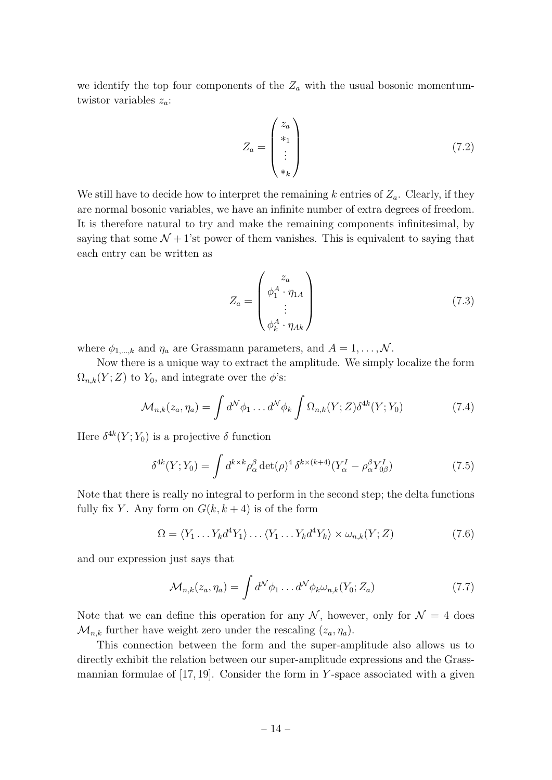we identify the top four components of the  $Z_a$  with the usual bosonic momentumtwistor variables  $z_a$ :

$$
Z_a = \begin{pmatrix} z_a \\ *_1 \\ \vdots \\ *_k \end{pmatrix} \tag{7.2}
$$

We still have to decide how to interpret the remaining k entries of  $Z_a$ . Clearly, if they are normal bosonic variables, we have an infinite number of extra degrees of freedom. It is therefore natural to try and make the remaining components infinitesimal, by saying that some  $\mathcal{N} + 1$ 'st power of them vanishes. This is equivalent to saying that each entry can be written as

$$
Z_a = \begin{pmatrix} z_a \\ \phi_1^A \cdot \eta_{1A} \\ \vdots \\ \phi_k^A \cdot \eta_{Ak} \end{pmatrix}
$$
 (7.3)

where  $\phi_{1,\dots,k}$  and  $\eta_a$  are Grassmann parameters, and  $A = 1, \dots, \mathcal{N}$ .

Now there is a unique way to extract the amplitude. We simply localize the form  $\Omega_{n,k}(Y;Z)$  to  $Y_0$ , and integrate over the  $\phi$ 's:

$$
\mathcal{M}_{n,k}(z_a, \eta_a) = \int d^{\mathcal{N}} \phi_1 \dots d^{\mathcal{N}} \phi_k \int \Omega_{n,k}(Y; Z) \delta^{4k}(Y; Y_0)
$$
\n(7.4)

Here  $\delta^{4k}(Y; Y_0)$  is a projective  $\delta$  function

$$
\delta^{4k}(Y;Y_0) = \int d^{k \times k} \rho_\alpha^\beta \det(\rho)^4 \, \delta^{k \times (k+4)}(Y_\alpha^I - \rho_\alpha^\beta Y_{0\beta}^I) \tag{7.5}
$$

Note that there is really no integral to perform in the second step; the delta functions fully fix Y. Any form on  $G(k, k+4)$  is of the form

$$
\Omega = \langle Y_1 \dots Y_k d^4 Y_1 \rangle \dots \langle Y_1 \dots Y_k d^4 Y_k \rangle \times \omega_{n,k}(Y;Z) \tag{7.6}
$$

and our expression just says that

$$
\mathcal{M}_{n,k}(z_a, \eta_a) = \int d^{\mathcal{N}} \phi_1 \dots d^{\mathcal{N}} \phi_k \omega_{n,k}(Y_0; Z_a)
$$
\n(7.7)

Note that we can define this operation for any  $\mathcal{N}$ , however, only for  $\mathcal{N} = 4$  does  $\mathcal{M}_{n,k}$  further have weight zero under the rescaling  $(z_a, \eta_a)$ .

This connection between the form and the super-amplitude also allows us to directly exhibit the relation between our super-amplitude expressions and the Grassmannian formulae of  $[17, 19]$ . Consider the form in Y-space associated with a given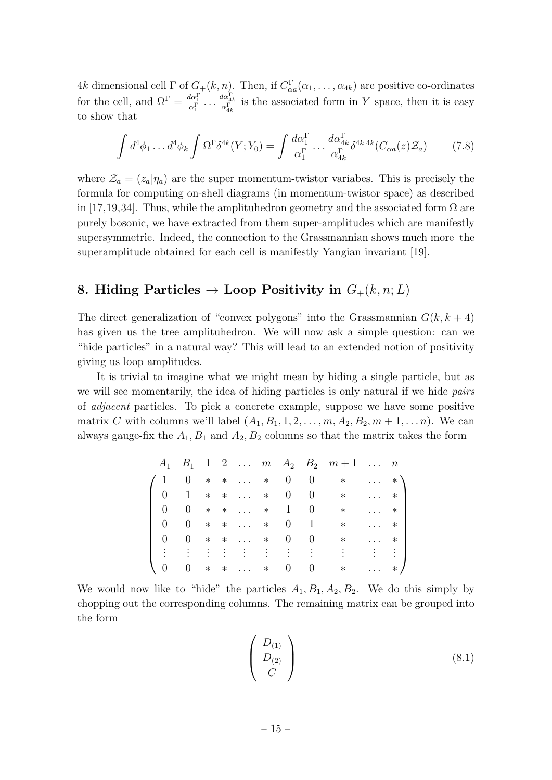4k dimensional cell  $\Gamma$  of  $G_{+}(k, n)$ . Then, if  $C_{\alpha a}^{\Gamma}(\alpha_1, \ldots, \alpha_{4k})$  are positive co-ordinates for the cell, and  $\Omega^{\Gamma} = \frac{d\alpha_1^{\Gamma}}{\alpha_1^{\Gamma}} \dots \frac{d\alpha_{4k}^{\Gamma}}{\alpha_{4k}^{\Gamma}}$  is the associated form in Y space, then it is easy to show that

$$
\int d^4 \phi_1 \dots d^4 \phi_k \int \Omega^{\Gamma} \delta^{4k}(Y; Y_0) = \int \frac{d\alpha_1^{\Gamma}}{\alpha_1^{\Gamma}} \dots \frac{d\alpha_{4k}^{\Gamma}}{\alpha_{4k}^{\Gamma}} \delta^{4k|4k}(C_{\alpha a}(z) \mathcal{Z}_a) \tag{7.8}
$$

where  $\mathcal{Z}_a = (z_a | \eta_a)$  are the super momentum-twistor variabes. This is precisely the formula for computing on-shell diagrams (in momentum-twistor space) as described in [17,19,34]. Thus, while the amplituhedron geometry and the associated form  $\Omega$  are purely bosonic, we have extracted from them super-amplitudes which are manifestly supersymmetric. Indeed, the connection to the Grassmannian shows much more–the superamplitude obtained for each cell is manifestly Yangian invariant [19].

## 8. Hiding Particles  $\rightarrow$  Loop Positivity in  $G_+(k,n;L)$

The direct generalization of "convex polygons" into the Grassmannian  $G(k, k + 4)$ has given us the tree amplituhedron. We will now ask a simple question: can we "hide particles" in a natural way? This will lead to an extended notion of positivity giving us loop amplitudes.

It is trivial to imagine what we might mean by hiding a single particle, but as we will see momentarily, the idea of hiding particles is only natural if we hide *pairs* of adjacent particles. To pick a concrete example, suppose we have some positive matrix C with columns we'll label  $(A_1, B_1, 1, 2, \ldots, m, A_2, B_2, m+1, \ldots n)$ . We can always gauge-fix the  $A_1, B_1$  and  $A_2, B_2$  columns so that the matrix takes the form

| $A_1$                                                                                                                                                                                                                                                                                                                                                                                                                                                                                                                                                                                                                                                                                                                                                                                                                                                                                                                               | $B_1$ | 1 | 2 | ... | $m$ | $A_2$ | $B_2$ | $m+1$ | ... | $n$ |
|-------------------------------------------------------------------------------------------------------------------------------------------------------------------------------------------------------------------------------------------------------------------------------------------------------------------------------------------------------------------------------------------------------------------------------------------------------------------------------------------------------------------------------------------------------------------------------------------------------------------------------------------------------------------------------------------------------------------------------------------------------------------------------------------------------------------------------------------------------------------------------------------------------------------------------------|-------|---|---|-----|-----|-------|-------|-------|-----|-----|
| $\begin{pmatrix}\n 1 & 0 & * & * & \dots & * & 0 & 0 & * & \dots & * \\  0 & 1 & * & * & \dots & * & 0 & 0 & * & \dots & * \\  0 & 0 & * & * & \dots & * & 0 & 1 & * & \dots & * \\  0 & 0 & * & * & \dots & * & 0 & 0 & * & \dots & * \\  \vdots & \vdots & \vdots & \vdots & \vdots & \vdots & \vdots & \vdots & \vdots & \vdots & \vdots & \vdots & \vdots & \vdots & \vdots & \vdots & \vdots & \vdots & \vdots & \vdots & \vdots & \vdots & \vdots & \vdots & \vdots & \vdots & \vdots & \vdots & \vdots & \vdots & \vdots & \vdots & \vdots & \vdots & \vdots & \vdots & \vdots & \vdots & \vdots & \vdots & \vdots & \vdots & \vdots & \vdots & \vdots & \vdots & \vdots & \vdots & \vdots & \vdots & \vdots & \vdots & \vdots & \vdots & \vdots & \vdots & \vdots & \vdots & \vdots & \vdots & \vdots & \vdots & \vdots & \vdots & \vdots & \vdots & \vdots & \vdots & \vdots & \vdots & \vdots & \vdots & \vdots & \vdots$ |       |   |   |     |     |       |       |       |     |     |

We would now like to "hide" the particles  $A_1, B_1, A_2, B_2$ . We do this simply by chopping out the corresponding columns. The remaining matrix can be grouped into the form

$$
\begin{pmatrix} D_{(1)} \\ D_{(2)} \\ -\frac{D_{(2)}}{C} \end{pmatrix} \tag{8.1}
$$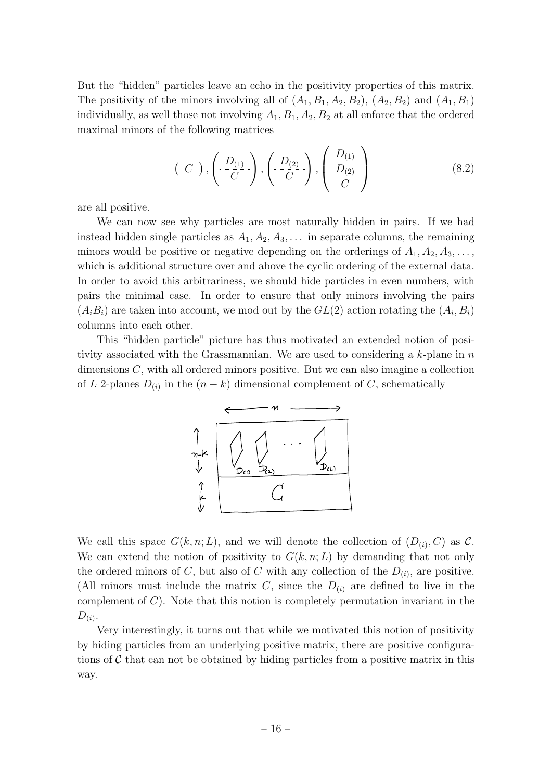But the "hidden" particles leave an echo in the positivity properties of this matrix. The positivity of the minors involving all of  $(A_1, B_1, A_2, B_2)$ ,  $(A_2, B_2)$  and  $(A_1, B_1)$ individually, as well those not involving  $A_1, B_1, A_2, B_2$  at all enforce that the ordered maximal minors of the following matrices

$$
\begin{pmatrix}\n C\n \end{pmatrix},\n \begin{pmatrix}\n -D_{(1)} \\
 -\overline{C}^2\n \end{pmatrix},\n \begin{pmatrix}\n -D_{(2)} \\
 -\overline{C}^2\n \end{pmatrix},\n \begin{pmatrix}\n -D_{(1)} \\
 \overline{D}_{(2)} \\
 -\overline{C}^2\n \end{pmatrix}
$$
\n(8.2)

are all positive.

We can now see why particles are most naturally hidden in pairs. If we had instead hidden single particles as  $A_1, A_2, A_3, \ldots$  in separate columns, the remaining minors would be positive or negative depending on the orderings of  $A_1, A_2, A_3, \ldots$ , which is additional structure over and above the cyclic ordering of the external data. In order to avoid this arbitrariness, we should hide particles in even numbers, with pairs the minimal case. In order to ensure that only minors involving the pairs  $(A_i B_i)$  are taken into account, we mod out by the  $GL(2)$  action rotating the  $(A_i, B_i)$ columns into each other.

This "hidden particle" picture has thus motivated an extended notion of positivity associated with the Grassmannian. We are used to considering a  $k$ -plane in  $n$ dimensions C, with all ordered minors positive. But we can also imagine a collection of L 2-planes  $D_{(i)}$  in the  $(n - k)$  dimensional complement of C, schematically



We call this space  $G(k, n; L)$ , and we will denote the collection of  $(D_{(i)}, C)$  as C. We can extend the notion of positivity to  $G(k, n; L)$  by demanding that not only the ordered minors of C, but also of C with any collection of the  $D_{(i)}$ , are positive. (All minors must include the matrix C, since the  $D_{(i)}$  are defined to live in the complement of  $C$ ). Note that this notion is completely permutation invariant in the  $D_{(i)}$ .

Very interestingly, it turns out that while we motivated this notion of positivity by hiding particles from an underlying positive matrix, there are positive configurations of  $\mathcal C$  that can not be obtained by hiding particles from a positive matrix in this way.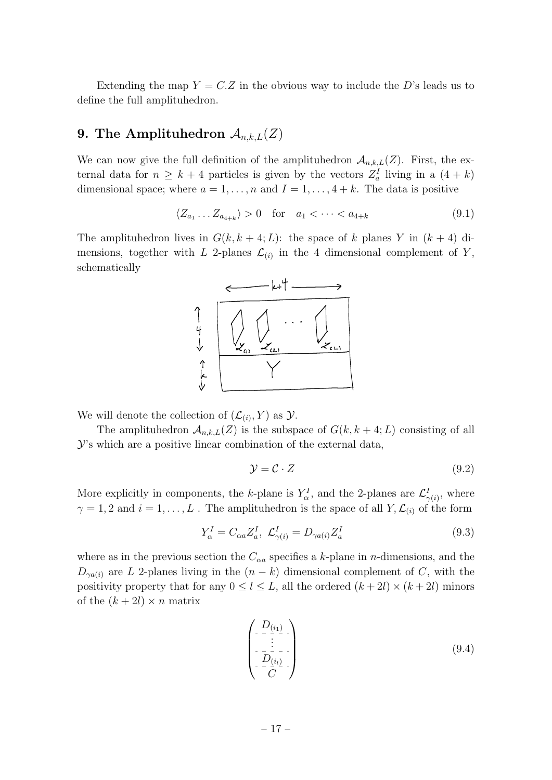Extending the map  $Y = C.Z$  in the obvious way to include the D's leads us to define the full amplituhedron.

## 9. The Amplituhedron  $\mathcal{A}_{n,k,L}(Z)$

We can now give the full definition of the amplituhedron  $\mathcal{A}_{n,k,L}(Z)$ . First, the external data for  $n \geq k+4$  particles is given by the vectors  $Z_a^I$  living in a  $(4+k)$ dimensional space; where  $a = 1, \ldots, n$  and  $I = 1, \ldots, 4 + k$ . The data is positive

$$
\langle Z_{a_1} \dots Z_{a_{4+k}} \rangle > 0 \quad \text{for} \quad a_1 < \dots < a_{4+k} \tag{9.1}
$$

The amplituhedron lives in  $G(k, k + 4; L)$ : the space of k planes Y in  $(k + 4)$  dimensions, together with L 2-planes  $\mathcal{L}_{(i)}$  in the 4 dimensional complement of Y, schematically



We will denote the collection of  $(\mathcal{L}_{(i)}, Y)$  as  $\mathcal{Y}$ .

The amplituhedron  $\mathcal{A}_{n,k,L}(Z)$  is the subspace of  $G(k, k+4; L)$  consisting of all  $\mathcal{Y}$ 's which are a positive linear combination of the external data,

$$
\mathcal{Y} = \mathcal{C} \cdot Z \tag{9.2}
$$

More explicitly in components, the k-plane is  $Y^I_{\alpha}$ , and the 2-planes are  $\mathcal{L}^I_{\gamma(i)}$ , where  $\gamma = 1, 2$  and  $i = 1, ..., L$ . The amplituhedron is the space of all  $Y, \mathcal{L}_{(i)}$  of the form

$$
Y_{\alpha}^{I} = C_{\alpha a} Z_{a}^{I}, \mathcal{L}_{\gamma(i)}^{I} = D_{\gamma a(i)} Z_{a}^{I}
$$
\n(9.3)

where as in the previous section the  $C_{\alpha a}$  specifies a k-plane in n-dimensions, and the  $D_{\gamma a(i)}$  are L 2-planes living in the  $(n - k)$  dimensional complement of C, with the positivity property that for any  $0 \leq l \leq L$ , all the ordered  $(k+2l) \times (k+2l)$  minors of the  $(k+2l)\times n$  matrix

$$
\begin{pmatrix}\n-\frac{D_{(i_1)}}{\vdots} \\
-\frac{D_{(i_l)}}{\ddots}\n\end{pmatrix}
$$
\n(9.4)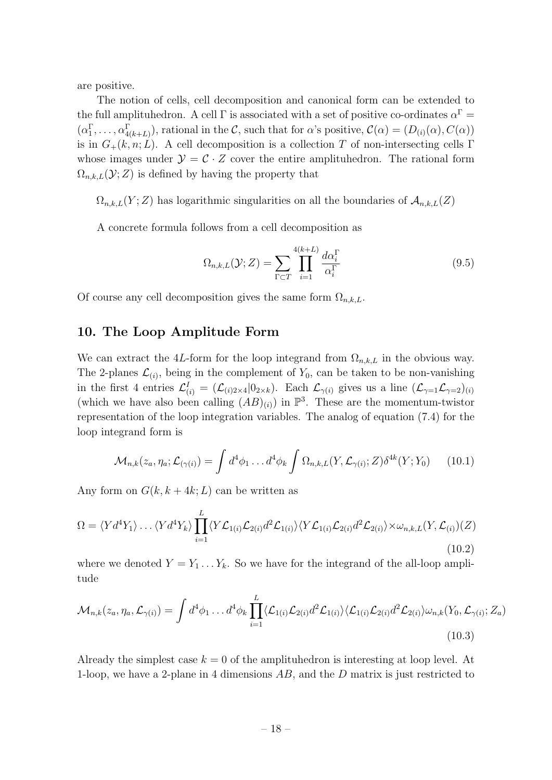are positive.

The notion of cells, cell decomposition and canonical form can be extended to the full amplituhedron. A cell  $\Gamma$  is associated with a set of positive co-ordinates  $\alpha^{\Gamma}$  =  $(\alpha_1^{\Gamma}, \ldots, \alpha_{4(k+L)}^{\Gamma})$ , rational in the C, such that for  $\alpha$ 's positive,  $\mathcal{C}(\alpha) = (D_{(i)}(\alpha), C(\alpha))$ is in  $G_+(k,n;L)$ . A cell decomposition is a collection T of non-intersecting cells Γ whose images under  $\mathcal{Y} = \mathcal{C} \cdot \mathcal{Z}$  cover the entire amplituhedron. The rational form  $\Omega_{n,k,L}(\mathcal{Y};Z)$  is defined by having the property that

 $\Omega_{n,k,L}(Y;Z)$  has logarithmic singularities on all the boundaries of  $\mathcal{A}_{n,k,L}(Z)$ 

A concrete formula follows from a cell decomposition as

$$
\Omega_{n,k,L}(\mathcal{Y};Z) = \sum_{\Gamma \subset T} \prod_{i=1}^{4(k+L)} \frac{d\alpha_i^{\Gamma}}{\alpha_i^{\Gamma}}
$$
\n(9.5)

Of course any cell decomposition gives the same form  $\Omega_{n,k,L}$ .

#### 10. The Loop Amplitude Form

We can extract the 4L-form for the loop integrand from  $\Omega_{n,k,L}$  in the obvious way. The 2-planes  $\mathcal{L}_{(i)}$ , being in the complement of  $Y_0$ , can be taken to be non-vanishing in the first 4 entries  $\mathcal{L}_{(i)}^I = (\mathcal{L}_{(i)2\times4}|0_{2\times k})$ . Each  $\mathcal{L}_{\gamma(i)}$  gives us a line  $(\mathcal{L}_{\gamma=1}\mathcal{L}_{\gamma=2})_{(i)}$ (which we have also been calling  $(AB)_{(i)}$ ) in  $\mathbb{P}^3$ . These are the momentum-twistor representation of the loop integration variables. The analog of equation (7.4) for the loop integrand form is

$$
\mathcal{M}_{n,k}(z_a, \eta_a; \mathcal{L}_{(\gamma(i)}) = \int d^4 \phi_1 \dots d^4 \phi_k \int \Omega_{n,k,L}(Y, \mathcal{L}_{\gamma(i)}; Z) \delta^{4k}(Y; Y_0) \qquad (10.1)
$$

Any form on  $G(k, k+4k; L)$  can be written as

$$
\Omega = \langle Yd^4Y_1 \rangle \dots \langle Yd^4Y_k \rangle \prod_{i=1}^L \langle Y\mathcal{L}_{1(i)}\mathcal{L}_{2(i)}d^2\mathcal{L}_{1(i)} \rangle \langle Y\mathcal{L}_{1(i)}\mathcal{L}_{2(i)}d^2\mathcal{L}_{2(i)} \rangle \times \omega_{n,k,L}(Y,\mathcal{L}_{(i)})(Z)
$$
\n(10.2)

where we denoted  $Y = Y_1 \ldots Y_k$ . So we have for the integrand of the all-loop amplitude

$$
\mathcal{M}_{n,k}(z_a, \eta_a, \mathcal{L}_{\gamma(i)}) = \int d^4 \phi_1 \dots d^4 \phi_k \prod_{i=1}^L \langle \mathcal{L}_{1(i)} \mathcal{L}_{2(i)} d^2 \mathcal{L}_{1(i)} \rangle \langle \mathcal{L}_{1(i)} \mathcal{L}_{2(i)} d^2 \mathcal{L}_{2(i)} \rangle \omega_{n,k}(Y_0, \mathcal{L}_{\gamma(i)}; Z_a)
$$
\n(10.3)

Already the simplest case  $k = 0$  of the amplituhedron is interesting at loop level. At 1-loop, we have a 2-plane in 4 dimensions AB, and the D matrix is just restricted to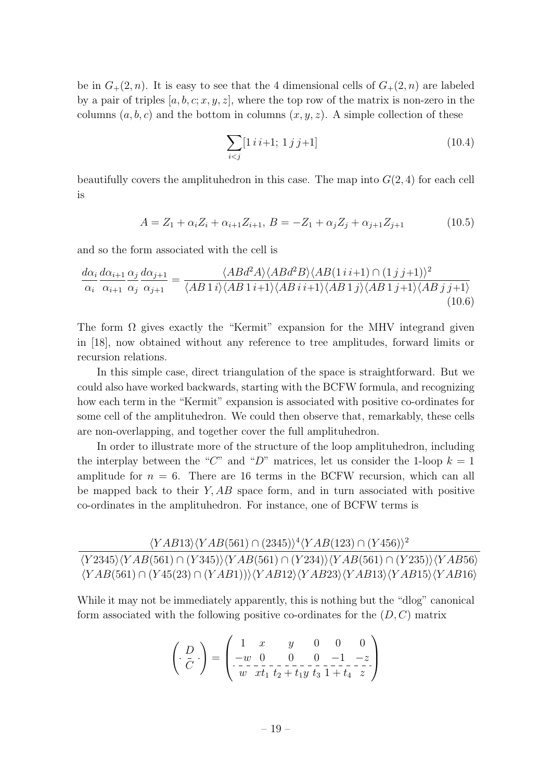be in  $G_{+}(2, n)$ . It is easy to see that the 4 dimensional cells of  $G_{+}(2, n)$  are labeled by a pair of triples [a, b, c; x, y, z], where the top row of the matrix is non-zero in the columns  $(a, b, c)$  and the bottom in columns  $(x, y, z)$ . A simple collection of these

$$
\sum_{i < j} [1 \, i \, i+1; \, 1 \, j \, j+1] \tag{10.4}
$$

beautifully covers the amplituhedron in this case. The map into  $G(2, 4)$  for each cell is

$$
A = Z_1 + \alpha_i Z_i + \alpha_{i+1} Z_{i+1}, B = -Z_1 + \alpha_j Z_j + \alpha_{j+1} Z_{j+1}
$$
(10.5)

and so the form associated with the cell is

$$
\frac{d\alpha_i}{\alpha_i} \frac{d\alpha_{i+1}}{\alpha_{i+1}} \frac{\alpha_j}{\alpha_j} \frac{d\alpha_{j+1}}{\alpha_{j+1}} = \frac{\langle ABd^2A \rangle \langle ABd^2B \rangle \langle AB(1\,i\,i+1) \cap (1\,j\,j+1) \rangle^2}{\langle AB\,1\,i \rangle \langle AB\,1\,i+1 \rangle \langle AB\,i\,i+1 \rangle \langle AB\,1\,j \rangle \langle AB\,1\,j+1 \rangle \langle AB\,j\,j+1 \rangle}
$$
\n(10.6)

The form  $\Omega$  gives exactly the "Kermit" expansion for the MHV integrand given in [18], now obtained without any reference to tree amplitudes, forward limits or recursion relations.

In this simple case, direct triangulation of the space is straightforward. But we could also have worked backwards, starting with the BCFW formula, and recognizing how each term in the "Kermit" expansion is associated with positive co-ordinates for some cell of the amplituhedron. We could then observe that, remarkably, these cells are non-overlapping, and together cover the full amplituhedron.

In order to illustrate more of the structure of the loop amplituhedron, including the interplay between the "C" and "D" matrices, let us consider the 1-loop  $k = 1$ amplitude for  $n = 6$ . There are 16 terms in the BCFW recursion, which can all be mapped back to their  $Y, AB$  space form, and in turn associated with positive co-ordinates in the amplituhedron. For instance, one of BCFW terms is

 $\langle YAB13\rangle \langle YAB(561) \cap (2345)\rangle^4 \langle YAB(123) \cap (Y456)\rangle^2$ 

| $\langle Y2345\rangle \langle YAB(561)\cap (Y345)\rangle \langle YAB(561)\cap (Y234)\rangle \langle YAB(561)\cap (Y235)\rangle \langle YAB56\rangle$                |  |
|---------------------------------------------------------------------------------------------------------------------------------------------------------------------|--|
| $\langle YAB(561) \cap (Y45(23) \cap (YAB1)) \rangle \langle YAB12 \rangle \langle YAB23 \rangle \langle YAB13 \rangle \langle YAB15 \rangle \langle YAB16 \rangle$ |  |

While it may not be immediately apparently, this is nothing but the "dlog" canonical form associated with the following positive co-ordinates for the  $(D, C)$  matrix

$$
\left(\begin{array}{c} D \\ \bar{C} \end{array}\right) = \left(\begin{array}{cccc} 1 & x & y & 0 & 0 & 0 \\ -w & 0 & 0 & 0 & -1 & -z \\ \hline w & x t_1 & t_2 + t_1 y & t_3 & 1 + t_4 & z \end{array}\right)
$$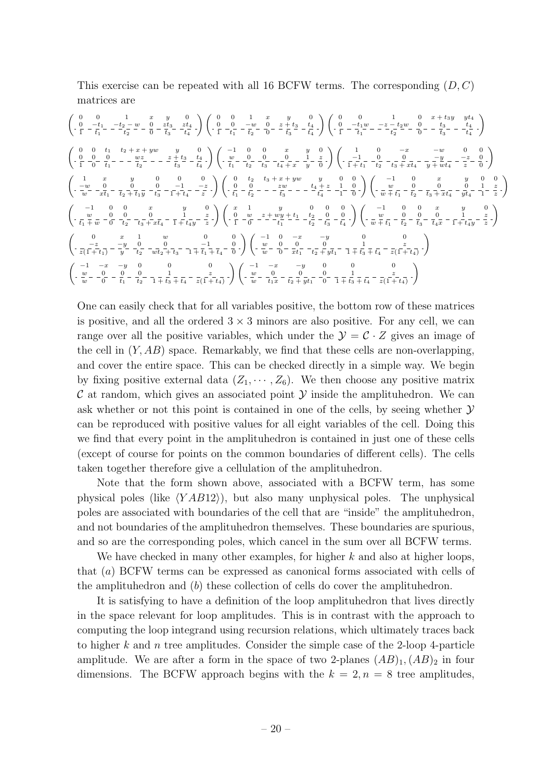This exercise can be repeated with all 16 BCFW terms. The corresponding  $(D, C)$ matrices are

$$
\left(\begin{matrix} 0 & 0 & 1 & x & y & 0 \\ -\frac{0}{1} & -\frac{t_1}{t_1} - \frac{-t_2 - w}{t_2} - \frac{0}{0} - \frac{zt_3}{t_3} - \frac{zt_4}{t_4} \end{matrix}\right) \left(\begin{matrix} 0 & 0 & 1 & x & y & 0 \\ -\frac{0}{1} & -\frac{0}{t_1} - \frac{w}{t_2} - \frac{0}{0} - \frac{z}{t_3} + \frac{t_4}{t_4} \end{matrix}\right) \left(\begin{matrix} 0 & 0 & 0 & x + ts_3y & yt_4 \\ -\frac{0}{1} & -\frac{t_1}{t_1} - \frac{z}{t_2} - \frac{t_4}{0} - \frac{z_4}{t_4} \end{matrix}\right)
$$
\n
$$
\left(\begin{matrix} 0 & 0 & t_1 & t_2 + x + yw & y & 0 \\ -\frac{0}{1} & 0 & -\frac{0}{t_1} - \frac{wz}{t_2} - \frac{z}{t_3} + \frac{t_3}{t_4} \end{matrix}\right) \left(\begin{matrix} -1 & 0 & 0 & x & y & 0 \\ -\frac{w}{t_1} - \frac{0}{t_2} - \frac{0}{t_3} - \frac{0}{t_4} - \frac{0}{t_4} - \frac{z_1}{t_3} \end{matrix}\right) \left(\begin{matrix} 1 & 0 & -x & -w & 0 & 0 \\ -\frac{1}{1} + t_1 - \frac{0}{t_2} - \frac{0}{t_3} + \frac{0}{t_4} + \frac{z_1}{t_4} - \frac{0}{t_3} \end{matrix}\right) \left(\begin{matrix} 1 & 0 & -x & -w & 0 & 0 \\ -\frac{1}{1} + t_1 - \frac{0}{t_2} - \frac{0}{t_3} + \frac{0}{t_4} + \frac{z_1}{t_4} - \frac{z_1}{t_4} \end{matrix}\right)
$$
\n
$$
\left(\begin{matrix} 1 & 0 & -x & -w & 0 & 0 \\ -\frac{w}{1} - \frac{0}{t_2} - \frac{0}{t_1} - \frac{w}{t_2} - \frac{z_4}{t_3} + \frac{z_4}{t_4} \end{matrix}\
$$

One can easily check that for all variables positive, the bottom row of these matrices is positive, and all the ordered  $3 \times 3$  minors are also positive. For any cell, we can range over all the positive variables, which under the  $\mathcal{Y} = \mathcal{C} \cdot \mathcal{Z}$  gives an image of the cell in  $(Y, AB)$  space. Remarkably, we find that these cells are non-overlapping, and cover the entire space. This can be checked directly in a simple way. We begin by fixing positive external data  $(Z_1, \dots, Z_6)$ . We then choose any positive matrix  $\mathcal C$  at random, which gives an associated point  $\mathcal Y$  inside the amplituhedron. We can ask whether or not this point is contained in one of the cells, by seeing whether  $\mathcal Y$ can be reproduced with positive values for all eight variables of the cell. Doing this we find that every point in the amplituhedron is contained in just one of these cells (except of course for points on the common boundaries of different cells). The cells taken together therefore give a cellulation of the amplituhedron.

Note that the form shown above, associated with a BCFW term, has some physical poles (like  $\langle YAB12 \rangle$ ), but also many unphysical poles. The unphysical poles are associated with boundaries of the cell that are "inside" the amplituhedron, and not boundaries of the amplituhedron themselves. These boundaries are spurious, and so are the corresponding poles, which cancel in the sum over all BCFW terms.

We have checked in many other examples, for higher  $k$  and also at higher loops, that (a) BCFW terms can be expressed as canonical forms associated with cells of the amplituhedron and (b) these collection of cells do cover the amplituhedron.

computing the loop integrand using recursion relations, which ultimately traces back It is satisfying to have a definition of the loop amplituhedron that lives directly in the space relevant for loop amplitudes. This is in contrast with the approach to to higher k and n tree amplitudes. Consider the simple case of the 2-loop 4-particle amplitude. We are after a form in the space of two 2-planes  $(AB)_1,(AB)_2$  in four dimensions. The BCFW approach begins with the  $k = 2, n = 8$  tree amplitudes,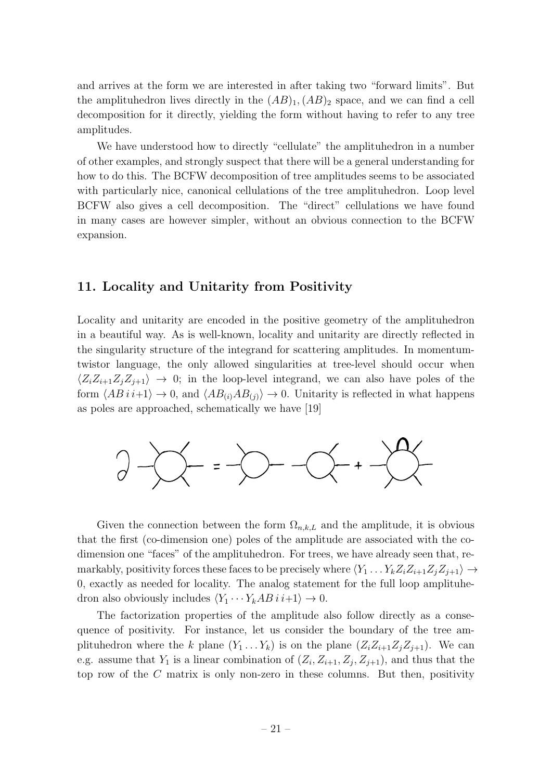and arrives at the form we are interested in after taking two "forward limits". But the amplituhedron lives directly in the  $(AB)_1,(AB)_2$  space, and we can find a cell decomposition for it directly, yielding the form without having to refer to any tree amplitudes.

We have understood how to directly "cellulate" the amplituhedron in a number of other examples, and strongly suspect that there will be a general understanding for how to do this. The BCFW decomposition of tree amplitudes seems to be associated with particularly nice, canonical cellulations of the tree amplituhedron. Loop level BCFW also gives a cell decomposition. The "direct" cellulations we have found in many cases are however simpler, without an obvious connection to the BCFW expansion.

#### 11. Locality and Unitarity from Positivity

Locality and unitarity are encoded in the positive geometry of the amplituhedron in a beautiful way. As is well-known, locality and unitarity are directly reflected in the singularity structure of the integrand for scattering amplitudes. In momentumtwistor language, the only allowed singularities at tree-level should occur when  $\langle Z_iZ_{i+1}Z_jZ_{i+1}\rangle \rightarrow 0$ ; in the loop-level integrand, we can also have poles of the form  $\langle AB\, i\, i+1 \rangle \rightarrow 0$ , and  $\langle AB_{(i)}AB_{(j)} \rangle \rightarrow 0$ . Unitarity is reflected in what happens as poles are approached, schematically we have [19]



Given the connection between the form  $\Omega_{n,k,L}$  and the amplitude, it is obvious that the first (co-dimension one) poles of the amplitude are associated with the codimension one "faces" of the amplituhedron. For trees, we have already seen that, remarkably, positivity forces these faces to be precisely where  $\langle Y_1 \dots Y_k Z_i Z_{i+1} Z_j Z_{j+1} \rangle \rightarrow$ 0, exactly as needed for locality. The analog statement for the full loop amplituhedron also obviously includes  $\langle Y_1 \cdots Y_k AB \, i \, i+1 \rangle \rightarrow 0.$ 

The factorization properties of the amplitude also follow directly as a consequence of positivity. For instance, let us consider the boundary of the tree amplituhedron where the k plane  $(Y_1 \ldots Y_k)$  is on the plane  $(Z_i Z_{i+1} Z_i Z_{i+1})$ . We can e.g. assume that  $Y_1$  is a linear combination of  $(Z_i, Z_{i+1}, Z_j, Z_{j+1})$ , and thus that the top row of the C matrix is only non-zero in these columns. But then, positivity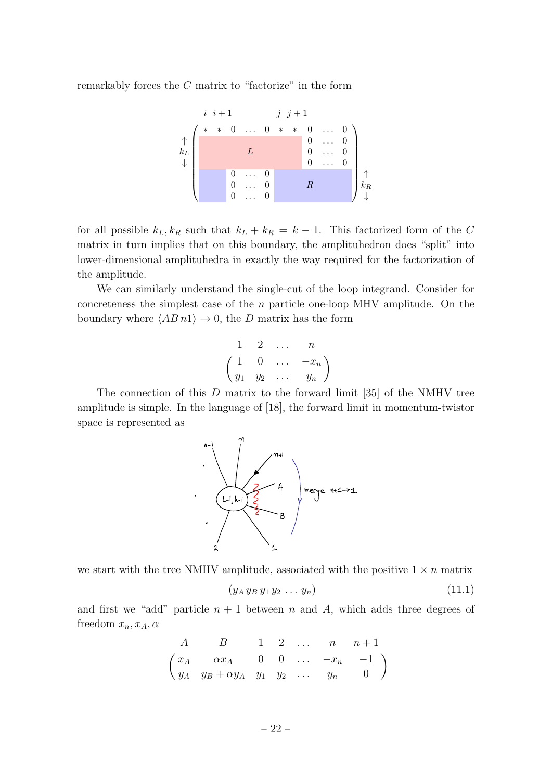remarkably forces the C matrix to "factorize" in the form



for all possible  $k_L, k_R$  such that  $k_L + k_R = k - 1$ . This factorized form of the C matrix in turn implies that on this boundary, the amplituhedron does "split" into lower-dimensional amplituhedra in exactly the way required for the factorization of the amplitude.

We can similarly understand the single-cut of the loop integrand. Consider for concreteness the simplest case of the  $n$  particle one-loop MHV amplitude. On the boundary where  $\langle AB \, n1 \rangle \rightarrow 0$ , the D matrix has the form

$$
\begin{pmatrix}\n1 & 2 & \dots & n \\
1 & 0 & \dots & -x_n \\
y_1 & y_2 & \dots & y_n\n\end{pmatrix}
$$

The connection of this D matrix to the forward limit [35] of the NMHV tree amplitude is simple. In the language of [18], the forward limit in momentum-twistor space is represented as



we start with the tree NMHV amplitude, associated with the positive  $1 \times n$  matrix

$$
(y_A y_B y_1 y_2 \dots y_n) \tag{11.1}
$$

and first we "add" particle  $n + 1$  between n and A, which adds three degrees of freedom  $x_n, x_A, \alpha$ 

A B 1 2 ... n 
$$
n+1
$$
  
\n
$$
\begin{pmatrix}\n x_A & \alpha x_A & 0 & 0 & \dots & -x_n & -1 \\
 y_A & y_B + \alpha y_A & y_1 & y_2 & \dots & y_n & 0\n\end{pmatrix}
$$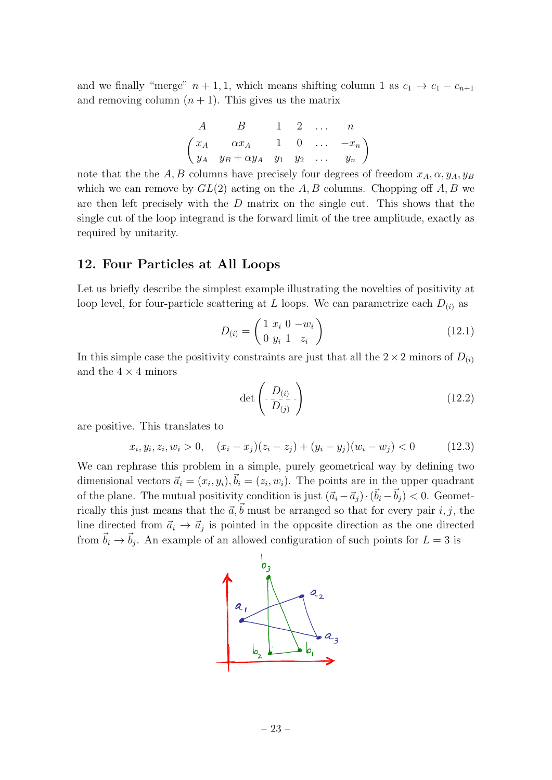and we finally "merge"  $n + 1, 1$ , which means shifting column 1 as  $c_1 \rightarrow c_1 - c_{n+1}$ and removing column  $(n + 1)$ . This gives us the matrix

$$
\begin{pmatrix}\nA & B & 1 & 2 & \dots & n \\
x_A & \alpha x_A & 1 & 0 & \dots & -x_n \\
y_A & y_B + \alpha y_A & y_1 & y_2 & \dots & y_n\n\end{pmatrix}
$$

note that the the A, B columns have precisely four degrees of freedom  $x_A, \alpha, y_A, y_B$ which we can remove by  $GL(2)$  acting on the A, B columns. Chopping off A, B we are then left precisely with the  $D$  matrix on the single cut. This shows that the single cut of the loop integrand is the forward limit of the tree amplitude, exactly as required by unitarity.

### 12. Four Particles at All Loops

Let us briefly describe the simplest example illustrating the novelties of positivity at loop level, for four-particle scattering at L loops. We can parametrize each  $D_{(i)}$  as

$$
D_{(i)} = \begin{pmatrix} 1 & x_i & 0 & -w_i \\ 0 & y_i & 1 & z_i \end{pmatrix}
$$
 (12.1)

In this simple case the positivity constraints are just that all the  $2 \times 2$  minors of  $D_{(i)}$ and the  $4 \times 4$  minors

$$
\det\left(-\frac{D_{(i)}}{D_{(j)}}\right) \tag{12.2}
$$

are positive. This translates to

$$
x_i, y_i, z_i, w_i > 0, \quad (x_i - x_j)(z_i - z_j) + (y_i - y_j)(w_i - w_j) < 0 \tag{12.3}
$$

We can rephrase this problem in a simple, purely geometrical way by defining two dimensional vectors  $\vec{a}_i = (x_i, y_i), \vec{b}_i = (z_i, w_i)$ . The points are in the upper quadrant of the plane. The mutual positivity condition is just  $(\vec{a}_i - \vec{a}_j) \cdot (\vec{b}_i - \vec{b}_j) < 0$ . Geometrically this just means that the  $\vec{a}, \vec{b}$  must be arranged so that for every pair i, j, the line directed from  $\vec{a}_i \rightarrow \vec{a}_j$  is pointed in the opposite direction as the one directed from  $\vec{b}_i \rightarrow \vec{b}_j$ . An example of an allowed configuration of such points for  $L = 3$  is

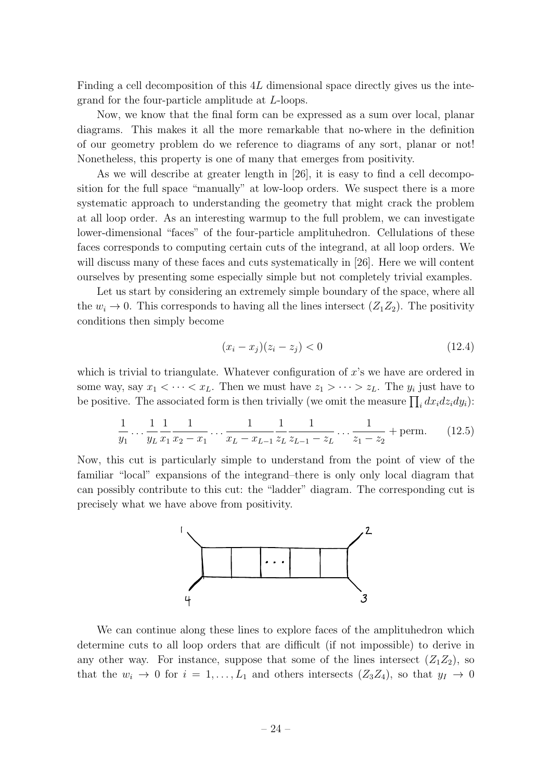Finding a cell decomposition of this 4L dimensional space directly gives us the integrand for the four-particle amplitude at L-loops.

Now, we know that the final form can be expressed as a sum over local, planar diagrams. This makes it all the more remarkable that no-where in the definition of our geometry problem do we reference to diagrams of any sort, planar or not! Nonetheless, this property is one of many that emerges from positivity.

As we will describe at greater length in [26], it is easy to find a cell decomposition for the full space "manually" at low-loop orders. We suspect there is a more systematic approach to understanding the geometry that might crack the problem at all loop order. As an interesting warmup to the full problem, we can investigate lower-dimensional "faces" of the four-particle amplituhedron. Cellulations of these faces corresponds to computing certain cuts of the integrand, at all loop orders. We will discuss many of these faces and cuts systematically in [26]. Here we will content ourselves by presenting some especially simple but not completely trivial examples.

Let us start by considering an extremely simple boundary of the space, where all the  $w_i \to 0$ . This corresponds to having all the lines intersect  $(Z_1 Z_2)$ . The positivity conditions then simply become

$$
(x_i - x_j)(z_i - z_j) < 0 \tag{12.4}
$$

which is trivial to triangulate. Whatever configuration of  $x$ 's we have are ordered in some way, say  $x_1 < \cdots < x_L$ . Then we must have  $z_1 > \cdots > z_L$ . The  $y_i$  just have to be positive. The associated form is then trivially (we omit the measure  $\prod_i dx_i dz_i dy_i$ ):

$$
\frac{1}{y_1} \dots \frac{1}{y_L} \frac{1}{x_1} \frac{1}{x_2 - x_1} \dots \frac{1}{x_L - x_{L-1}} \frac{1}{z_L} \frac{1}{z_{L-1} - z_L} \dots \frac{1}{z_1 - z_2} + \text{perm.}
$$
 (12.5)

Now, this cut is particularly simple to understand from the point of view of the familiar "local" expansions of the integrand–there is only only local diagram that can possibly contribute to this cut: the "ladder" diagram. The corresponding cut is precisely what we have above from positivity.



We can continue along these lines to explore faces of the amplituhedron which determine cuts to all loop orders that are difficult (if not impossible) to derive in any other way. For instance, suppose that some of the lines intersect  $(Z_1Z_2)$ , so that the  $w_i \to 0$  for  $i = 1, ..., L_1$  and others intersects  $(Z_3 Z_4)$ , so that  $y_I \to 0$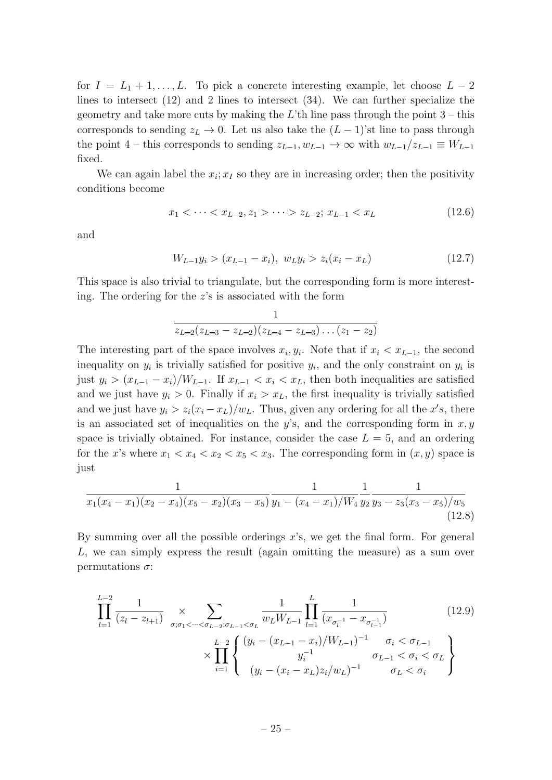for  $I = L_1 + 1, \ldots, L$ . To pick a concrete interesting example, let choose  $L - 2$ lines to intersect (12) and 2 lines to intersect (34). We can further specialize the geometry and take more cuts by making the  $L$ 'th line pass through the point  $3$  – this corresponds to sending  $z_L \to 0$ . Let us also take the  $(L-1)$ 'st line to pass through the point 4 – this corresponds to sending  $z_{L-1}, w_{L-1} \to \infty$  with  $w_{L-1}/z_{L-1} \equiv W_{L-1}$ fixed.

We can again label the  $x_i$ ;  $x_I$  so they are in increasing order; then the positivity conditions become

$$
x_1 < \dots < x_{L-2}, z_1 > \dots > z_{L-2}; \ x_{L-1} < x_L \tag{12.6}
$$

and

$$
W_{L-1}y_i > (x_{L-1} - x_i), \ w_L y_i > z_i(x_i - x_L) \tag{12.7}
$$

This space is also trivial to triangulate, but the corresponding form is more interesting. The ordering for the z's is associated with the form

$$
\frac{1}{z_{L-2}(z_{L-3}-z_{L-2})(z_{L-4}-z_{L-3})\dots(z_1-z_2)}
$$

The interesting part of the space involves  $x_i, y_i$ . Note that if  $x_i < x_{L-1}$ , the second inequality on  $y_i$  is trivially satisfied for positive  $y_i$ , and the only constraint on  $y_i$  is just  $y_i > (x_{L-1} - x_i)/W_{L-1}$ . If  $x_{L-1} < x_i < x_L$ , then both inequalities are satisfied and we just have  $y_i > 0$ . Finally if  $x_i > x_L$ , the first inequality is trivially satisfied and we just have  $y_i > z_i(x_i - x_L)/w_L$ . Thus, given any ordering for all the  $x's$ , there is an associated set of inequalities on the y's, and the corresponding form in  $x, y$ space is trivially obtained. For instance, consider the case  $L = 5$ , and an ordering for the x's where  $x_1 < x_4 < x_2 < x_5 < x_3$ . The corresponding form in  $(x, y)$  space is just

$$
\frac{1}{x_1(x_4-x_1)(x_2-x_4)(x_5-x_2)(x_3-x_5)}\frac{1}{y_1-(x_4-x_1)/W_4}\frac{1}{y_2}\frac{1}{y_3-z_3(x_3-x_5)/w_5}
$$
(12.8)

By summing over all the possible orderings  $x$ 's, we get the final form. For general L, we can simply express the result (again omitting the measure) as a sum over permutations  $σ$ :

$$
\prod_{l=1}^{L-2} \frac{1}{(z_l - z_{l+1})} \times \sum_{\sigma; \sigma_1 < \dots < \sigma_{L-2}; \sigma_{L-1} < \sigma_L} \frac{1}{w_L W_{L-1}} \prod_{l=1}^L \frac{1}{(x_{\sigma_l^{-1}} - x_{\sigma_{l-1}^{-1}})} \qquad (12.9)
$$
\n
$$
\times \prod_{i=1}^{L-2} \begin{cases} (y_i - (x_{L-1} - x_i) / W_{L-1})^{-1} & \sigma_i < \sigma_{L-1} \\ (y_i - (x_i - x_L) z_i / w_L)^{-1} & \sigma_L < \sigma_i \end{cases}
$$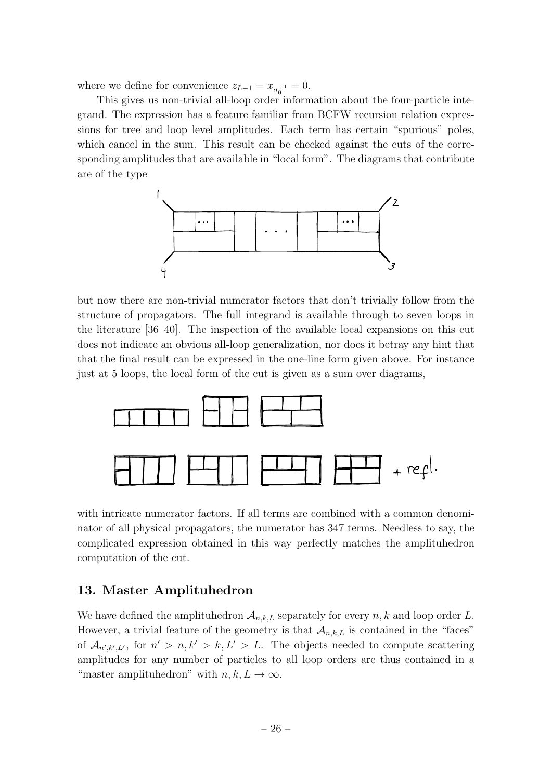where we define for convenience  $z_{L-1} = x_{\sigma_0^{-1}} = 0$ .

This gives us non-trivial all-loop order information about the four-particle integrand. The expression has a feature familiar from BCFW recursion relation expressions for tree and loop level amplitudes. Each term has certain "spurious" poles, which cancel in the sum. This result can be checked against the cuts of the corresponding amplitudes that are available in "local form". The diagrams that contribute are of the type



but now there are non-trivial numerator factors that don't trivially follow from the structure of propagators. The full integrand is available through to seven loops in the literature [36–40]. The inspection of the available local expansions on this cut does not indicate an obvious all-loop generalization, nor does it betray any hint that that the final result can be expressed in the one-line form given above. For instance just at 5 loops, the local form of the cut is given as a sum over diagrams,



with intricate numerator factors. If all terms are combined with a common denominator of all physical propagators, the numerator has 347 terms. Needless to say, the complicated expression obtained in this way perfectly matches the amplituhedron computation of the cut.

## 13. Master Amplituhedron

We have defined the amplituhedron  $A_{n,k,L}$  separately for every n, k and loop order L. However, a trivial feature of the geometry is that  $\mathcal{A}_{n,k,L}$  is contained in the "faces" of  $\mathcal{A}_{n',k',L'}$ , for  $n' > n, k' > k, L' > L$ . The objects needed to compute scattering amplitudes for any number of particles to all loop orders are thus contained in a "master amplituhedron" with  $n, k, L \rightarrow \infty$ .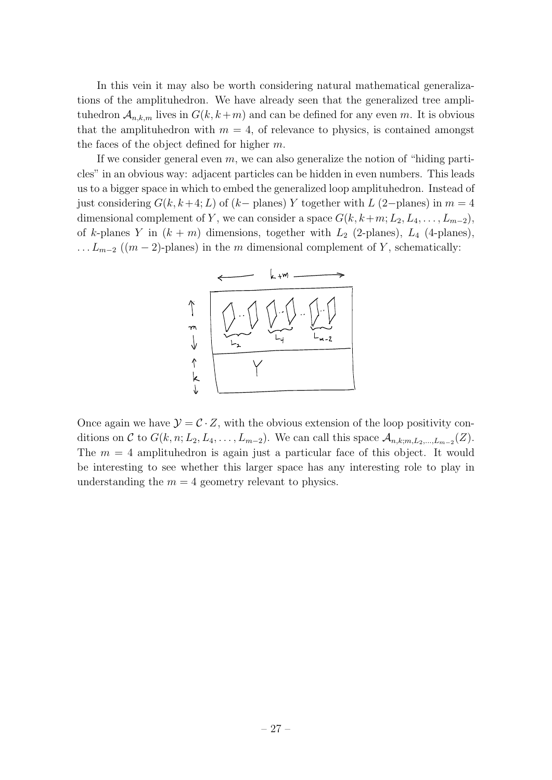In this vein it may also be worth considering natural mathematical generalizations of the amplituhedron. We have already seen that the generalized tree amplituhedron  $A_{n,k,m}$  lives in  $G(k, k+m)$  and can be defined for any even m. It is obvious that the amplituhedron with  $m = 4$ , of relevance to physics, is contained amongst the faces of the object defined for higher  $m$ .

If we consider general even  $m$ , we can also generalize the notion of "hiding particles" in an obvious way: adjacent particles can be hidden in even numbers. This leads us to a bigger space in which to embed the generalized loop amplituhedron. Instead of just considering  $G(k, k+4; L)$  of  $(k-$  planes) Y together with L (2-planes) in  $m = 4$ dimensional complement of Y, we can consider a space  $G(k, k+m; L_2, L_4, \ldots, L_{m-2})$ , of k-planes Y in  $(k + m)$  dimensions, together with  $L_2$  (2-planes),  $L_4$  (4-planes),  $\ldots$  L<sub>m−2</sub> ((m − 2)-planes) in the m dimensional complement of Y, schematically:



Once again we have  $\mathcal{Y} = \mathcal{C} \cdot Z$ , with the obvious extension of the loop positivity conditions on C to  $G(k, n; L_2, L_4, \ldots, L_{m-2})$ . We can call this space  $\mathcal{A}_{n,k;m,L_2,\ldots,L_{m-2}}(Z)$ . The  $m = 4$  amplituhedron is again just a particular face of this object. It would be interesting to see whether this larger space has any interesting role to play in understanding the  $m = 4$  geometry relevant to physics.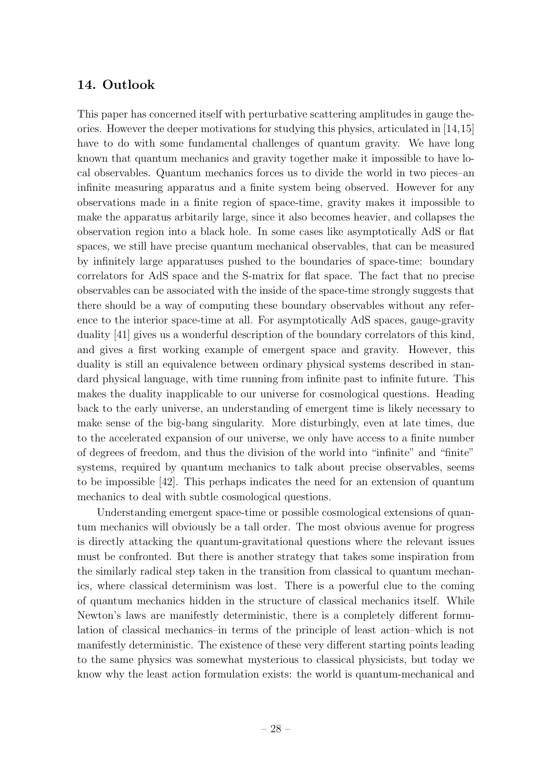## 14. Outlook

This paper has concerned itself with perturbative scattering amplitudes in gauge theories. However the deeper motivations for studying this physics, articulated in [14,15] have to do with some fundamental challenges of quantum gravity. We have long known that quantum mechanics and gravity together make it impossible to have local observables. Quantum mechanics forces us to divide the world in two pieces–an infinite measuring apparatus and a finite system being observed. However for any observations made in a finite region of space-time, gravity makes it impossible to make the apparatus arbitarily large, since it also becomes heavier, and collapses the observation region into a black hole. In some cases like asymptotically AdS or flat spaces, we still have precise quantum mechanical observables, that can be measured by infinitely large apparatuses pushed to the boundaries of space-time: boundary correlators for AdS space and the S-matrix for flat space. The fact that no precise observables can be associated with the inside of the space-time strongly suggests that there should be a way of computing these boundary observables without any reference to the interior space-time at all. For asymptotically AdS spaces, gauge-gravity duality [41] gives us a wonderful description of the boundary correlators of this kind, and gives a first working example of emergent space and gravity. However, this duality is still an equivalence between ordinary physical systems described in standard physical language, with time running from infinite past to infinite future. This makes the duality inapplicable to our universe for cosmological questions. Heading back to the early universe, an understanding of emergent time is likely necessary to make sense of the big-bang singularity. More disturbingly, even at late times, due to the accelerated expansion of our universe, we only have access to a finite number of degrees of freedom, and thus the division of the world into "infinite" and "finite" systems, required by quantum mechanics to talk about precise observables, seems to be impossible [42]. This perhaps indicates the need for an extension of quantum mechanics to deal with subtle cosmological questions.

Understanding emergent space-time or possible cosmological extensions of quantum mechanics will obviously be a tall order. The most obvious avenue for progress is directly attacking the quantum-gravitational questions where the relevant issues must be confronted. But there is another strategy that takes some inspiration from the similarly radical step taken in the transition from classical to quantum mechanics, where classical determinism was lost. There is a powerful clue to the coming of quantum mechanics hidden in the structure of classical mechanics itself. While Newton's laws are manifestly deterministic, there is a completely different formulation of classical mechanics–in terms of the principle of least action–which is not manifestly deterministic. The existence of these very different starting points leading to the same physics was somewhat mysterious to classical physicists, but today we know why the least action formulation exists: the world is quantum-mechanical and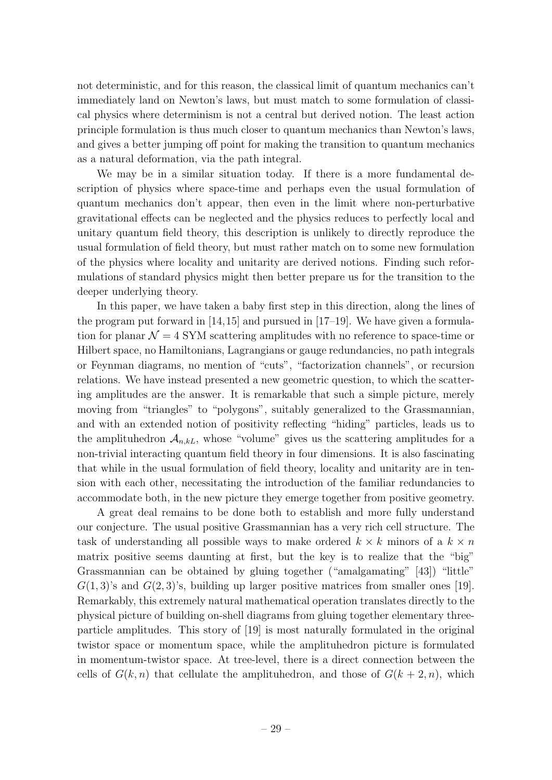not deterministic, and for this reason, the classical limit of quantum mechanics can't immediately land on Newton's laws, but must match to some formulation of classical physics where determinism is not a central but derived notion. The least action principle formulation is thus much closer to quantum mechanics than Newton's laws, and gives a better jumping off point for making the transition to quantum mechanics as a natural deformation, via the path integral.

We may be in a similar situation today. If there is a more fundamental description of physics where space-time and perhaps even the usual formulation of quantum mechanics don't appear, then even in the limit where non-perturbative gravitational effects can be neglected and the physics reduces to perfectly local and unitary quantum field theory, this description is unlikely to directly reproduce the usual formulation of field theory, but must rather match on to some new formulation of the physics where locality and unitarity are derived notions. Finding such reformulations of standard physics might then better prepare us for the transition to the deeper underlying theory.

In this paper, we have taken a baby first step in this direction, along the lines of the program put forward in [14,15] and pursued in [17–19]. We have given a formulation for planar  $\mathcal{N} = 4$  SYM scattering amplitudes with no reference to space-time or Hilbert space, no Hamiltonians, Lagrangians or gauge redundancies, no path integrals or Feynman diagrams, no mention of "cuts", "factorization channels", or recursion relations. We have instead presented a new geometric question, to which the scattering amplitudes are the answer. It is remarkable that such a simple picture, merely moving from "triangles" to "polygons", suitably generalized to the Grassmannian, and with an extended notion of positivity reflecting "hiding" particles, leads us to the amplituhedron  $A_{n,k}$ , whose "volume" gives us the scattering amplitudes for a non-trivial interacting quantum field theory in four dimensions. It is also fascinating that while in the usual formulation of field theory, locality and unitarity are in tension with each other, necessitating the introduction of the familiar redundancies to accommodate both, in the new picture they emerge together from positive geometry.

A great deal remains to be done both to establish and more fully understand our conjecture. The usual positive Grassmannian has a very rich cell structure. The task of understanding all possible ways to make ordered  $k \times k$  minors of a  $k \times n$ matrix positive seems daunting at first, but the key is to realize that the "big" Grassmannian can be obtained by gluing together ("amalgamating" [43]) "little"  $G(1,3)$ 's and  $G(2,3)$ 's, building up larger positive matrices from smaller ones [19]. Remarkably, this extremely natural mathematical operation translates directly to the physical picture of building on-shell diagrams from gluing together elementary threeparticle amplitudes. This story of [19] is most naturally formulated in the original twistor space or momentum space, while the amplituhedron picture is formulated in momentum-twistor space. At tree-level, there is a direct connection between the cells of  $G(k, n)$  that cellulate the amplituhedron, and those of  $G(k + 2, n)$ , which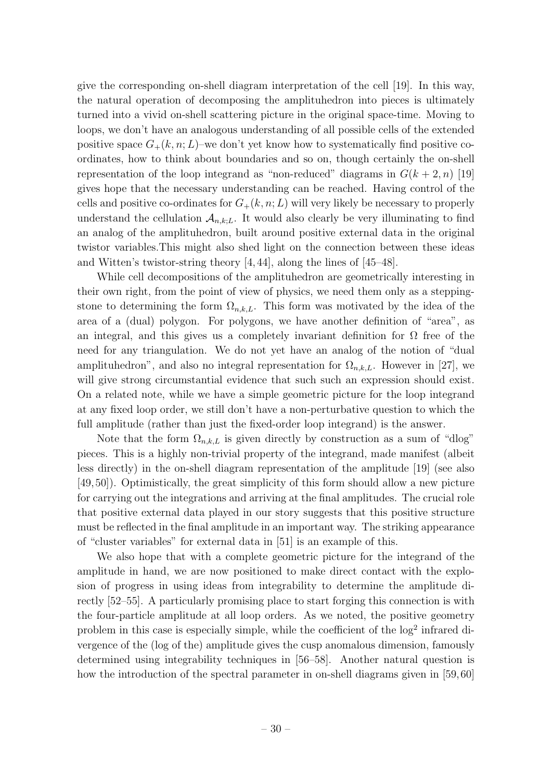give the corresponding on-shell diagram interpretation of the cell [19]. In this way, the natural operation of decomposing the amplituhedron into pieces is ultimately turned into a vivid on-shell scattering picture in the original space-time. Moving to loops, we don't have an analogous understanding of all possible cells of the extended positive space  $G_+(k, n; L)$ –we don't yet know how to systematically find positive coordinates, how to think about boundaries and so on, though certainly the on-shell representation of the loop integrand as "non-reduced" diagrams in  $G(k+2,n)$  [19] gives hope that the necessary understanding can be reached. Having control of the cells and positive co-ordinates for  $G_{+}(k, n; L)$  will very likely be necessary to properly understand the cellulation  $A_{n,k;L}$ . It would also clearly be very illuminating to find an analog of the amplituhedron, built around positive external data in the original twistor variables.This might also shed light on the connection between these ideas and Witten's twistor-string theory [4, 44], along the lines of [45–48].

While cell decompositions of the amplituhedron are geometrically interesting in their own right, from the point of view of physics, we need them only as a steppingstone to determining the form  $\Omega_{n,k,L}$ . This form was motivated by the idea of the area of a (dual) polygon. For polygons, we have another definition of "area", as an integral, and this gives us a completely invariant definition for  $\Omega$  free of the need for any triangulation. We do not yet have an analog of the notion of "dual amplituhedron", and also no integral representation for  $\Omega_{n,k,L}$ . However in [27], we will give strong circumstantial evidence that such such an expression should exist. On a related note, while we have a simple geometric picture for the loop integrand at any fixed loop order, we still don't have a non-perturbative question to which the full amplitude (rather than just the fixed-order loop integrand) is the answer.

Note that the form  $\Omega_{n,k,L}$  is given directly by construction as a sum of "dlog" pieces. This is a highly non-trivial property of the integrand, made manifest (albeit less directly) in the on-shell diagram representation of the amplitude [19] (see also [49,50]). Optimistically, the great simplicity of this form should allow a new picture for carrying out the integrations and arriving at the final amplitudes. The crucial role that positive external data played in our story suggests that this positive structure must be reflected in the final amplitude in an important way. The striking appearance of "cluster variables" for external data in [51] is an example of this.

We also hope that with a complete geometric picture for the integrand of the amplitude in hand, we are now positioned to make direct contact with the explosion of progress in using ideas from integrability to determine the amplitude directly [52–55]. A particularly promising place to start forging this connection is with the four-particle amplitude at all loop orders. As we noted, the positive geometry problem in this case is especially simple, while the coefficient of the  $log<sup>2</sup>$  infrared divergence of the (log of the) amplitude gives the cusp anomalous dimension, famously determined using integrability techniques in [56–58]. Another natural question is how the introduction of the spectral parameter in on-shell diagrams given in [59,60]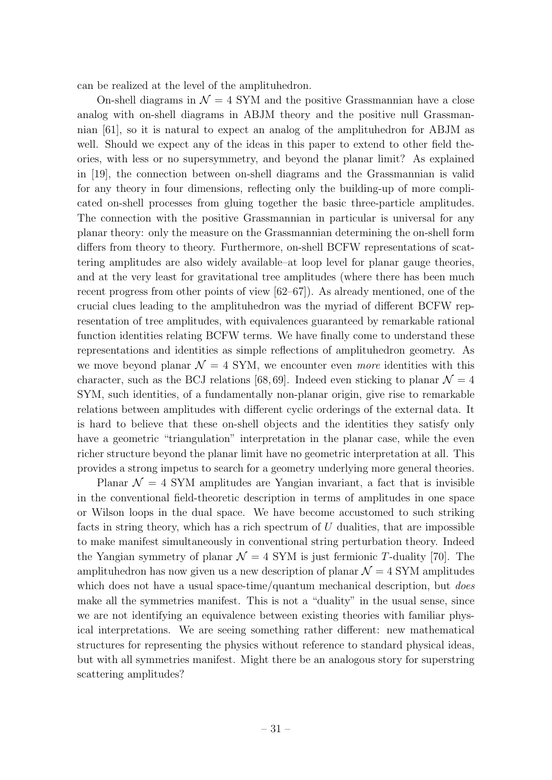can be realized at the level of the amplituhedron.

On-shell diagrams in  $\mathcal{N} = 4$  SYM and the positive Grassmannian have a close analog with on-shell diagrams in ABJM theory and the positive null Grassmannian [61], so it is natural to expect an analog of the amplituhedron for ABJM as well. Should we expect any of the ideas in this paper to extend to other field theories, with less or no supersymmetry, and beyond the planar limit? As explained in [19], the connection between on-shell diagrams and the Grassmannian is valid for any theory in four dimensions, reflecting only the building-up of more complicated on-shell processes from gluing together the basic three-particle amplitudes. The connection with the positive Grassmannian in particular is universal for any planar theory: only the measure on the Grassmannian determining the on-shell form differs from theory to theory. Furthermore, on-shell BCFW representations of scattering amplitudes are also widely available–at loop level for planar gauge theories, and at the very least for gravitational tree amplitudes (where there has been much recent progress from other points of view [62–67]). As already mentioned, one of the crucial clues leading to the amplituhedron was the myriad of different BCFW representation of tree amplitudes, with equivalences guaranteed by remarkable rational function identities relating BCFW terms. We have finally come to understand these representations and identities as simple reflections of amplituhedron geometry. As we move beyond planar  $\mathcal{N} = 4$  SYM, we encounter even more identities with this character, such as the BCJ relations [68, 69]. Indeed even sticking to planar  $\mathcal{N} = 4$ SYM, such identities, of a fundamentally non-planar origin, give rise to remarkable relations between amplitudes with different cyclic orderings of the external data. It is hard to believe that these on-shell objects and the identities they satisfy only have a geometric "triangulation" interpretation in the planar case, while the even richer structure beyond the planar limit have no geometric interpretation at all. This provides a strong impetus to search for a geometry underlying more general theories.

Planar  $\mathcal{N} = 4$  SYM amplitudes are Yangian invariant, a fact that is invisible in the conventional field-theoretic description in terms of amplitudes in one space or Wilson loops in the dual space. We have become accustomed to such striking facts in string theory, which has a rich spectrum of  $U$  dualities, that are impossible to make manifest simultaneously in conventional string perturbation theory. Indeed the Yangian symmetry of planar  $\mathcal{N} = 4$  SYM is just fermionic T-duality [70]. The amplituhedron has now given us a new description of planar  $\mathcal{N} = 4$  SYM amplitudes which does not have a usual space-time/quantum mechanical description, but *does* make all the symmetries manifest. This is not a "duality" in the usual sense, since we are not identifying an equivalence between existing theories with familiar physical interpretations. We are seeing something rather different: new mathematical structures for representing the physics without reference to standard physical ideas, but with all symmetries manifest. Might there be an analogous story for superstring scattering amplitudes?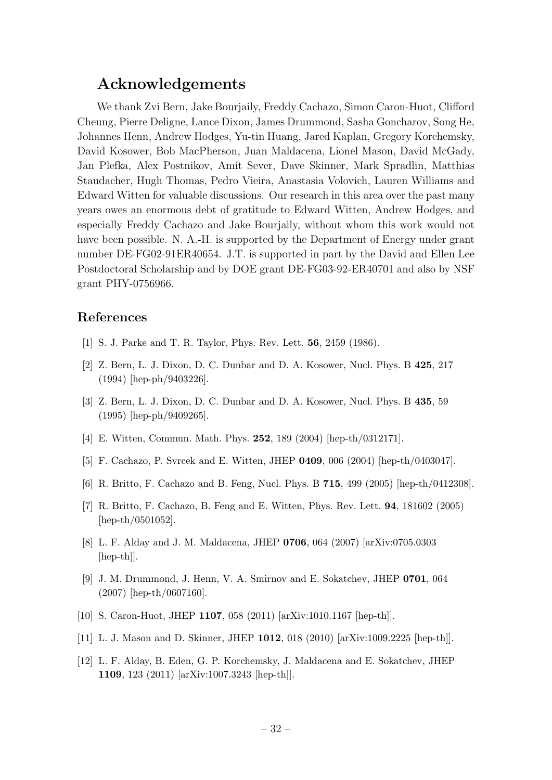## Acknowledgements

We thank Zvi Bern, Jake Bourjaily, Freddy Cachazo, Simon Caron-Huot, Clifford Cheung, Pierre Deligne, Lance Dixon, James Drummond, Sasha Goncharov, Song He, Johannes Henn, Andrew Hodges, Yu-tin Huang, Jared Kaplan, Gregory Korchemsky, David Kosower, Bob MacPherson, Juan Maldacena, Lionel Mason, David McGady, Jan Plefka, Alex Postnikov, Amit Sever, Dave Skinner, Mark Spradlin, Matthias Staudacher, Hugh Thomas, Pedro Vieira, Anastasia Volovich, Lauren Williams and Edward Witten for valuable discussions. Our research in this area over the past many years owes an enormous debt of gratitude to Edward Witten, Andrew Hodges, and especially Freddy Cachazo and Jake Bourjaily, without whom this work would not have been possible. N. A.-H. is supported by the Department of Energy under grant number DE-FG02-91ER40654. J.T. is supported in part by the David and Ellen Lee Postdoctoral Scholarship and by DOE grant DE-FG03-92-ER40701 and also by NSF grant PHY-0756966.

#### References

- [1] S. J. Parke and T. R. Taylor, Phys. Rev. Lett. 56, 2459 (1986).
- [2] Z. Bern, L. J. Dixon, D. C. Dunbar and D. A. Kosower, Nucl. Phys. B 425, 217 (1994) [hep-ph/9403226].
- [3] Z. Bern, L. J. Dixon, D. C. Dunbar and D. A. Kosower, Nucl. Phys. B 435, 59 (1995) [hep-ph/9409265].
- [4] E. Witten, Commun. Math. Phys. 252, 189 (2004) [hep-th/0312171].
- [5] F. Cachazo, P. Svrcek and E. Witten, JHEP 0409, 006 (2004) [hep-th/0403047].
- [6] R. Britto, F. Cachazo and B. Feng, Nucl. Phys. B 715, 499 (2005) [hep-th/0412308].
- [7] R. Britto, F. Cachazo, B. Feng and E. Witten, Phys. Rev. Lett. 94, 181602 (2005) [hep-th/0501052].
- [8] L. F. Alday and J. M. Maldacena, JHEP 0706, 064 (2007) [arXiv:0705.0303 [hep-th]].
- [9] J. M. Drummond, J. Henn, V. A. Smirnov and E. Sokatchev, JHEP 0701, 064 (2007) [hep-th/0607160].
- [10] S. Caron-Huot, JHEP 1107, 058 (2011) [arXiv:1010.1167 [hep-th]].
- [11] L. J. Mason and D. Skinner, JHEP 1012, 018 (2010) [arXiv:1009.2225 [hep-th]].
- [12] L. F. Alday, B. Eden, G. P. Korchemsky, J. Maldacena and E. Sokatchev, JHEP 1109, 123 (2011) [arXiv:1007.3243 [hep-th]].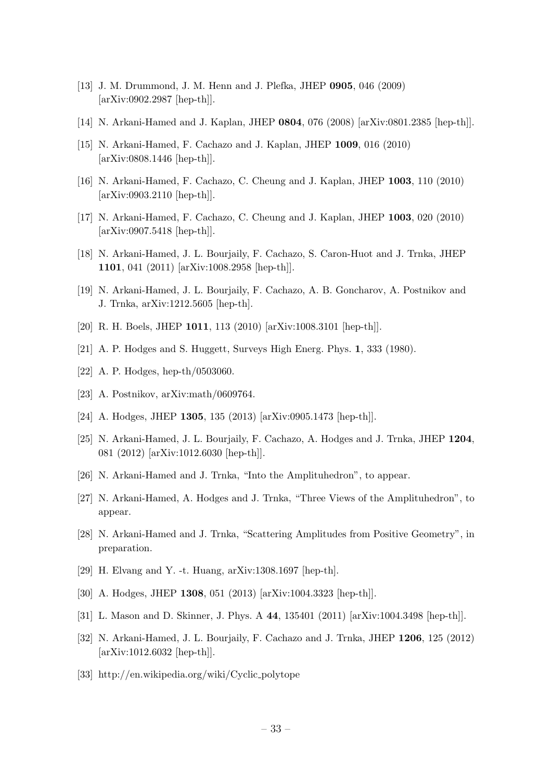- [13] J. M. Drummond, J. M. Henn and J. Plefka, JHEP 0905, 046 (2009) [arXiv:0902.2987 [hep-th]].
- [14] N. Arkani-Hamed and J. Kaplan, JHEP 0804, 076 (2008) [arXiv:0801.2385 [hep-th]].
- [15] N. Arkani-Hamed, F. Cachazo and J. Kaplan, JHEP 1009, 016 (2010) [arXiv:0808.1446 [hep-th]].
- [16] N. Arkani-Hamed, F. Cachazo, C. Cheung and J. Kaplan, JHEP 1003, 110 (2010) [arXiv:0903.2110 [hep-th]].
- [17] N. Arkani-Hamed, F. Cachazo, C. Cheung and J. Kaplan, JHEP 1003, 020 (2010) [arXiv:0907.5418 [hep-th]].
- [18] N. Arkani-Hamed, J. L. Bourjaily, F. Cachazo, S. Caron-Huot and J. Trnka, JHEP 1101, 041 (2011) [arXiv:1008.2958 [hep-th]].
- [19] N. Arkani-Hamed, J. L. Bourjaily, F. Cachazo, A. B. Goncharov, A. Postnikov and J. Trnka, arXiv:1212.5605 [hep-th].
- [20] R. H. Boels, JHEP 1011, 113 (2010) [arXiv:1008.3101 [hep-th]].
- [21] A. P. Hodges and S. Huggett, Surveys High Energ. Phys. 1, 333 (1980).
- [22] A. P. Hodges, hep-th/0503060.
- [23] A. Postnikov, arXiv:math/0609764.
- [24] A. Hodges, JHEP 1305, 135 (2013) [arXiv:0905.1473 [hep-th]].
- [25] N. Arkani-Hamed, J. L. Bourjaily, F. Cachazo, A. Hodges and J. Trnka, JHEP 1204, 081 (2012) [arXiv:1012.6030 [hep-th]].
- [26] N. Arkani-Hamed and J. Trnka, "Into the Amplituhedron", to appear.
- [27] N. Arkani-Hamed, A. Hodges and J. Trnka, "Three Views of the Amplituhedron", to appear.
- [28] N. Arkani-Hamed and J. Trnka, "Scattering Amplitudes from Positive Geometry", in preparation.
- [29] H. Elvang and Y. -t. Huang, arXiv:1308.1697 [hep-th].
- [30] A. Hodges, JHEP 1308, 051 (2013) [arXiv:1004.3323 [hep-th]].
- [31] L. Mason and D. Skinner, J. Phys. A 44, 135401 (2011) [arXiv:1004.3498 [hep-th]].
- [32] N. Arkani-Hamed, J. L. Bourjaily, F. Cachazo and J. Trnka, JHEP 1206, 125 (2012) [arXiv:1012.6032 [hep-th]].
- [33] http://en.wikipedia.org/wiki/Cyclic polytope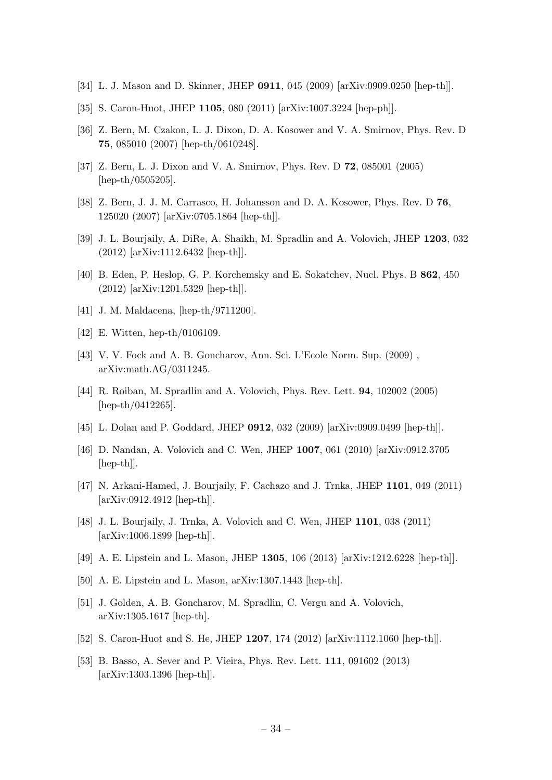- [34] L. J. Mason and D. Skinner, JHEP 0911, 045 (2009) [arXiv:0909.0250 [hep-th]].
- [35] S. Caron-Huot, JHEP 1105, 080 (2011) [arXiv:1007.3224 [hep-ph]].
- [36] Z. Bern, M. Czakon, L. J. Dixon, D. A. Kosower and V. A. Smirnov, Phys. Rev. D 75, 085010 (2007) [hep-th/0610248].
- [37] Z. Bern, L. J. Dixon and V. A. Smirnov, Phys. Rev. D 72, 085001 (2005) [hep-th/0505205].
- [38] Z. Bern, J. J. M. Carrasco, H. Johansson and D. A. Kosower, Phys. Rev. D 76, 125020 (2007) [arXiv:0705.1864 [hep-th]].
- [39] J. L. Bourjaily, A. DiRe, A. Shaikh, M. Spradlin and A. Volovich, JHEP 1203, 032 (2012) [arXiv:1112.6432 [hep-th]].
- [40] B. Eden, P. Heslop, G. P. Korchemsky and E. Sokatchev, Nucl. Phys. B 862, 450 (2012) [arXiv:1201.5329 [hep-th]].
- [41] J. M. Maldacena, [hep-th/9711200].
- [42] E. Witten, hep-th/0106109.
- [43] V. V. Fock and A. B. Goncharov, Ann. Sci. L'Ecole Norm. Sup. (2009) , arXiv:math.AG/0311245.
- [44] R. Roiban, M. Spradlin and A. Volovich, Phys. Rev. Lett. 94, 102002 (2005) [hep-th/0412265].
- [45] L. Dolan and P. Goddard, JHEP 0912, 032 (2009) [arXiv:0909.0499 [hep-th]].
- [46] D. Nandan, A. Volovich and C. Wen, JHEP 1007, 061 (2010) [arXiv:0912.3705 [hep-th]].
- [47] N. Arkani-Hamed, J. Bourjaily, F. Cachazo and J. Trnka, JHEP 1101, 049 (2011) [arXiv:0912.4912 [hep-th]].
- [48] J. L. Bourjaily, J. Trnka, A. Volovich and C. Wen, JHEP 1101, 038 (2011) [arXiv:1006.1899 [hep-th]].
- [49] A. E. Lipstein and L. Mason, JHEP 1305, 106 (2013) [arXiv:1212.6228 [hep-th]].
- [50] A. E. Lipstein and L. Mason, arXiv:1307.1443 [hep-th].
- [51] J. Golden, A. B. Goncharov, M. Spradlin, C. Vergu and A. Volovich, arXiv:1305.1617 [hep-th].
- [52] S. Caron-Huot and S. He, JHEP 1207, 174 (2012) [arXiv:1112.1060 [hep-th]].
- [53] B. Basso, A. Sever and P. Vieira, Phys. Rev. Lett. 111, 091602 (2013) [arXiv:1303.1396 [hep-th]].